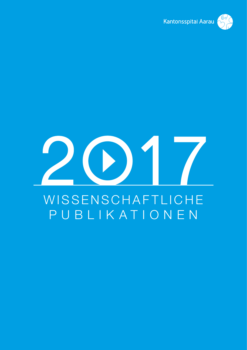

# **WISSENSCHAFTLICHE** PUBLIKATIONEN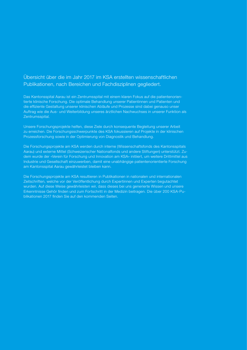# Übersicht über die im Jahr 2017 im KSA erstellten wissenschaftlichen Publikationen, nach Bereichen und Fachdisziplinen gegliedert.

Das Kantonsspital Aarau ist ein Zentrumsspital mit einem klaren Fokus auf die patientenorientierte klinische Forschung. Die optimale Behandlung unserer Patientinnen und Patienten und die effiziente Gestaltung unserer klinischen Abläufe und Prozesse sind dabei genauso unser Auftrag wie die Aus- und Weiterbildung unseres ärztlichen Nachwuchses in unserer Funktion als Zentrumsspital.

Unsere Forschungsprojekte helfen, diese Ziele durch konsequente Begleitung unserer Arbeit zu erreichen. Die Forschungsschwerpunkte des KSA fokussieren auf Projekte in der klinischen Prozessforschung sowie in der Optimierung von Diagnostik und Behandlung.

Die Forschungsprojekte am KSA werden durch interne (Wissenschaftsfonds des Kantonsspitals Aarau) und externe Mittel (Schweizerischer Nationalfonds und andere Stiftungen) unterstützt. Zudem wurde der «Verein für Forschung und Innovation am KSA» initiiert, um weitere Drittmittel aus Industrie und Gesellschaft einzuwerben, damit eine unabhängige patientenorientierte Forschung am Kantonsspital Aarau gewährleistet bleiben kann.

Die Forschungsprojekte am KSA resultieren in Publikationen in nationalen und internationalen Zeitschriften, welche vor der Veröffentlichung durch Expertinnen und Experten begutachtet wurden. Auf diese Weise gewährleisten wir, dass dieses bei uns generierte Wissen und unsere Erkenntnisse Gehör finden und zum Fortschritt in der Medizin beitragen. Die über 200 KSA-Publikationen 2017 finden Sie auf den kommenden Seiten.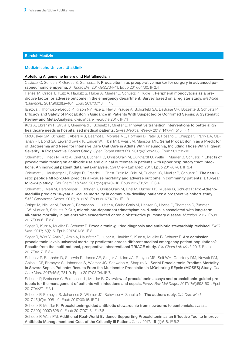#### Medizinische Universitätsklinik

#### Abteilung Allgemeine Innere und Notfallmedizin

Caviezel C, Schuetz P, Gerdes S, Gambazzi F. Procalcitonin as preoperative marker for surgery in advanced parapneumonic empyema. *J Thorac Dis.* 2017;9(3):734-41. Epub 2017/04/30. IF 2.4

Hensel M, Gradel L, Kutz A, Haubitz S, Huber A, Mueller B, Schuetz P, Hugle T. Peripheral monocytosis as a predictive factor for adverse outcome in the emergency department: Survey based on a register study. *Medicine (Baltimore).* 2017;96(28):e7404. Epub 2017/07/13. IF 1.8

Iankova I, Thompson-Leduc P, Kirson NY, Rice B, Hey J, Krause A, Schonfeld SA, DeBrase CR, Bozzette S, Schuetz P: Efficacy and Safety of Procalcitonin Guidance in Patients With Suspected or Confirmed Sepsis: A Systematic Review and Meta-Analysis. *Critical care medicine* 2017. IF 7.1

Kutz A, Ebrahimi F, Struja T, Greenwald J, Schuetz P, Mueller B: Innovative transition interventions to better align healthcare needs in hospitalised medical patients. *Swiss Medical Weekly* 2017, 147:w14515. IF 1.7

McCluskey SM, Schuetz P, Abers MS, Bearnot B, Morales ME, Hoffman D, Patel S, Rosario L, Chiappa V, Parry BA, Callahan RT, Bond SA, Lewandrowski K, Binder W, Filbin MR, Vyas JM, Mansour MK, Serial Procalcitonin as a Predictor of Bacteremia and Need for Intensive Care Unit Care in Adults With Pneumonia, Including Those With Highest Severity: A Prospective Cohort Study. *Open Forum Infect Dis.* 2017;4(1):ofw238. Epub 2017/05/10.

Odermatt J, Friedli N, Kutz A, Briel M, Bucher HC, Christ-Crain M, Burkhardt O, Welte T, Mueller B, Schuetz P. Effects of procalcitonin testing on antibiotic use and clinical outcomes in patients with upper respiratory tract infections. An individual patient data meta-analysis. *Clin Chem Lab Med.* 2017. Epub 2017/07/01. IF 3.4

Odermatt J, Hersberger L, Bolliger R, Graedel L, Christ-Crain M, Briel M, Bucher HC, Mueller B, Schuetz P. The natriuretic peptide MR-proANP predicts all-cause mortality and adverse outcome in community patients: a 10-year follow-up study. *Clin Chem Lab Med.* 2017;55(9):1407-16. Epub 2017/01/21. IF 3.4

Odermatt J, Meili M, Hersberger L, Bolliger R, Christ-Crain M, Briel M, Bucher HC, Mueller B, Schuetz P. Pro-Adrenomedullin predicts 10-year all-cause mortality in community-dwelling patients: a prospective cohort study. *BMC Cardiovasc Disord.* 2017;17(1):178. Epub 2017/07/06. IF 1.8

Ottiger M, Nickler M, Steuer C, Bernasconi L, Huber A, Christ-Crain M, Henzen C, Hoess C, Thomann R, Zimmerli W, Mueller B, Schuetz P. Gut, microbiota-dependent trimethylamine-N-oxide is associated with long-term all-cause mortality in patients with exacerbated chronic obstructive pulmonary disease. *Nutrition.* 2017. Epub 2017/09/06. IF 5.3

Sager R, Kutz A, Mueller B, Schuetz P. Procalcitonin-guided diagnosis and antibiotic stewardship revisited. *BMC Med.* 2017;15(1):15. Epub 2017/01/25. IF 8.1

Sager R, Wirz Y, Amin D, Amin A, Hausfater P, Huber A, Haubitz S, Kutz A, Mueller B, Schuetz P, Are admission procalcitonin levels universal mortality predictors across different medical emergency patient populations? Results from the multi-national, prospective, observational TRIAGE study. *Clin Chem Lab Med.* 2017. Epub 2017/04/17. IF 3.4

Schuetz P, Birkhahn R, Sherwin R, Jones AE, Singer A, Kline JA, Runyon MS, Self WH, Courtney DM, Nowak RM, Gaieski DF, Ebmeyer S, Johannes S, Wiemer JC, Schwabe A, Shapiro NI. Serial Procalcitonin Predicts Mortality in Severe Sepsis Patients: Results From the Multicenter Procalcitonin MOnitoring SEpsis (MOSES) Study. *Crit Care Med.* 2017;45(5):781-9. Epub 2017/03/04. IF 7.1

Schuetz P, Bretscher C, Bernasconi L, Mueller B. Overview of procalcitonin assays and procalcitonin-quided protocols for the management of patients with infections and sepsis. *Expert Rev Mol Diagn.* 2017;17(6):593-601. Epub 2017/04/27. IF 3.1

Schuetz P, Ebmeyer S, Johannes S, Wiemer JC, Schwabe A, Shapiro NI. The authors reply. *Crit Care Med.* 2017;45(10):e1098-e9. Epub 2017/09/16. IF 7.1

Schuetz P, Mueller B. Procalcitonin-guided antibiotic stewardship from newborns to centennials. *Lancet.* 2017;390(10097):826-9. Epub 2017/07/18. IF 47.8

Schuetz P, Wahl PM: Additional Real-World Evidence Supporting Procalcitonin as an Effective Tool to Improve Antibiotic Management and Cost of the Critically Ill Patient. *Chest* 2017, 151(1):6-8. IF 6.2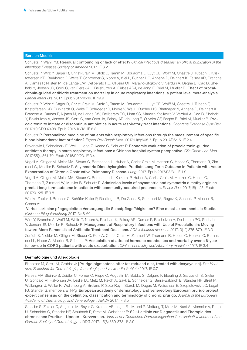Schuetz P, Wahl PM: Residual confounding or lack of effect? *Clinical infectious diseases: an official publication of the Infectious Diseases Society of America* 2017. IF 8.2

Schuetz P, Wirz Y, Sager R, Christ-Crain M, Stolz D, Tamm M, Bouadma L, Luyt CE, Wolff M, Chastre J, Tubach F, Kristoffersen KB, Burkhardt O, Welte T, Schroeder S, Nobre V, Wei L, Bucher HC, Annane D, Reinhart K, Falsey AR, Branche A, Damas P, Nijsten M, de Lange DW, Deliberato RO, Oliveira CF, Maravic-Stojkovic V, Verduri A, Beghe B, Cao B, Shehabi Y, Jensen JS, Corti C, van Oers JAH, Beishuizen A, Girbes ARJ, de Jong E, Briel M, Mueller B. Effect of procalcitonin-guided antibiotic treatment on mortality in acute respiratory infections: a patient level meta-analysis. *Lancet Infect Dis*. 2017. Epub 2017/10/19. IF 19.9

Schuetz P, Wirz Y, Sager R, Christ-Crain M, Stolz D, Tamm M, Bouadma L, Luyt CE, Wolff M, Chastre J, Tubach F, Kristoffersen KB, Burkhardt O, Welte T, Schroeder S, Nobre V, Wei L, Bucher HC, Bhatnagar N, Annane D, Reinhart K, Branche A, Damas P, Nijsten M, de Lange DW, Deliberato RO, Lima SS, Maravic-Stojkovic V, Verduri A, Cao B, Shehabi Y, Beishuizen A, Jensen JS, Corti C, Van Oers JA, Falsey AR, de Jong E, Oliveira CF, Beghe B, Briel M, Mueller B. Procalcitonin to initiate or discontinue antibiotics in acute respiratory tract infections. *Cochrane Database Syst Rev.* 2017;10:CD007498. Epub 2017/10/13. IF 6.3

Schuetz P. Personalized medicine of patients with respiratory infections through the measurement of specific blood biomarkers: fact or fiction? *Expert Rev Respir Med*. 2017;11(8):605-7. Epub 2017/06/15. IF 2.4

Stojanovic I, Schneider JE, Wei L, Hong Z, Keane C, Schuetz P. Economic evaluation of procalcitonin-guided antibiotic therapy in acute respiratory infections: a Chinese hospital system perspective. *Clin Chem Lab Med.*  2017;55(4):561-70. Epub 2016/09/23. IF 3.4

Vogeli A, Ottiger M, Meier MA, Steuer C, Bernasconi L, Huber A, Christ-Crain M, Henzen C, Hoess C, Thomann R, Zimmerli W, Mueller B, Schuetz P. Asymmetric Dimethylarginine Predicts Long-Term Outcome in Patients with Acute Exacerbation of Chronic Obstructive Pulmonary Disease. *Lung.* 2017. Epub 2017/08/31. IF 1.9

Vogeli A, Ottiger M, Meier MA, Steuer C, Bernasconi L, Kulkarni P, Huber A, Christ-Crain M, Henzen C, Hoess C, Thomann R, Zimmerli W, Mueller B, Schuetz P. Admission levels of asymmetric and symmetric dimethylarginine predict long-term outcome in patients with community-acquired pneumonia. *Respir Res.* 2017;18(1):25. Epub 2017/01/25. IF 3.8

Wenke-Zobler J, Brunner C, Schäfer-Keller P, Reutlinger B, De Geest S, Schubert M, Regez K, Schuetz P, Mueller B, Conca A:

Verbessert eine pflegegeleitete Versorgung die Selbstpflegefähigkeiten? Eine quasi-experimentelle Studie. *Klinische Pflegeforschung* 2017, 3:48-60.

Wirz Y, Branche A, Wolff M, Welte T, Nobre V, Reinhart K, Falsey AR, Damas P, Beishuizen A, Deliberato RO, Shehabi Y, Jensen JS, Mueller B, Schuetz P: Management of Respiratory Infections with Use of Procalcitonin: Moving toward More Personalized Antibiotic Treatment Decisions. *ACS infectious diseases* 2017, 3(12):875-879. IF 3.3

Zurfluh S, Nickler M, Ottiger M, Steuer C, Kutz A, Christ-Crain M, Zimmerli W, Thomann R, Hoess C, Henzen C, Bernasconi L, Huber A, Mueller B, Schuetz P: Association of adrenal hormone metabolites and mortality over a 6-year follow-up in COPD patients with acute exacerbation. *Clinical chemistry and laboratory medicine* 2017. IF 3.4

# Dermatologie und Allergologie

Ebnother M, Streit M, Grabbe J: [Prurigo pigmentosa after fat-reduced diet, treated with doxycycline]. *Der Hautarzt; Zeitschrift fur Dermatologie, Venerologie, und verwandte Gebiete* 2017. IF 0.7

Pereira MP, Steinke S, Zeidler C, Forner C, Riepe C, Augustin M, Bobko S, Dalgard F, Elberling J, Garcovich S, Gieler U, Goncalo M, Halvorsen JA, Leslie TA, Metz M, Reich A, Savk E, Schneider G, Serra-Baldrich E, Stander HF, Streit M, Wallengren J, Weller K, Wollenberg A, Bruland P, Soto-Rey I, Storck M, Dugas M, Weisshaar E, Szepietowski JC, Legat FJ, Stander S, members ETFPg: European academy of dermatology and venereology European prurigo project: expert consensus on the definition, classification and terminology of chronic prurigo. *Journal of the European Academy of Dermatology and Venereology* : JEADV 2017. IF 3.5

Stander S, Zeidler C, Augustin M, Bayer G, Kremer AE, Legat FJ, Maisel P, Mettang T, Metz M, Nast A, Niemeier V, Raap U, Schneider G, Stander HF, Staubach P, Streit M, Weisshaar E: S2k-Leitlinie zur Diagnostik und Therapie des chronischen Pruritus - Update - Kurzversion. *Journal der Deutschen Dermatologischen Gesellschaft = Journal of the German Society of Dermatology* : JDDG 2017, 15(8):860-873. IF 2.9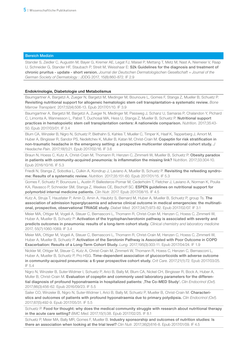Stander S, Zeidler C, Augustin M, Bayer G, Kremer AE, Legat FJ, Maisel P, Mettang T, Metz M, Nast A, Niemeier V, Raap U, Schneider G, Stander HF, Staubach P, Streit M, Weisshaar E: S2k Guidelines for the diagnosis and treatment of chronic pruritus - update - short version. *Journal der Deutschen Dermatologischen Gesellschaft = Journal of the German Society of Dermatology* : JDDG 2017, 15(8):860-872. IF 2.9

# Endokrinologie, Diabetologie und Metabolismus

Baumgartner A, Bargetzi A, Zueger N, Bargetzi M, Medinger M, Bounoure L, Gomes F, Stanga Z, Mueller B, Schuetz P. Revisiting nutritional support for allogeneic hematologic stem cell transplantation-a systematic review. *Bone Marrow Transplant.* 2017;52(4):506-13. Epub 2017/01/10. IF 3.9

Baumgartner A, Bargetzi M, Bargetzi A, Zueger N, Medinger M, Passweg J, Schanz U, Samaras P, Chalandon Y, Pichard C, Limonta A, Wannesson L, Pabst T, Duchosal MA, Hess U, Stanga Z, Mueller B, Schuetz P. Nutritional support practices in hematopoietic stem cell transplantation centers: A nationwide comparison. *Nutrition.* 2017;35:43- 50. Epub 2017/03/01. IF 3.4

Blum CA, Winzeler B, Nigro N, Schuetz P, Biethahn S, Kahles T, Mueller C, Timper K, Haaf K, Tepperberg J, Amort M, Huber A, Bingisser R, Sandor PS, Nedeltchev K, Muller B, Katan M, Christ-Crain M. Copeptin for risk stratification in non-traumatic headache in the emergency setting: a prospective multicenter observational cohort study. *J Headache Pain.* 2017;18(1):21. Epub 2017/02/16. IF 3.6

Braun N, Hoess C, Kutz A, Christ-Crain M, Thomann R, Henzen C, Zimmerli W, Mueller B, Schuetz P. Obesity paradox in patients with community-acquired pneumonia: Is inflammation the missing link? *Nutrition.* 2017;33:304-10. Epub 2016/10/16. IF 5.3

Friedli N, Stanga Z, Sobotka L, Culkin A, Kondrup J, Laviano A, Mueller B, Schuetz P. Revisiting the refeeding syndrome: Results of a systematic review. *Nutrition.* 2017;35:151-60. Epub 2017/01/15. IF 5.3

Gomes F, Schuetz P, Bounoure L, Austin P, Ballesteros-Pomar M, Cederholm T, Fletcher J, Laviano A, Norman K, Poulia KA, Ravasco P, Schneider SM, Stanga Z, Weekes CE, Bischoff SC. ESPEN guidelines on nutritional support for polymorbid internal medicine patients. *Clin Nutr.* 2017. Epub 2017/08/15. IF 4.5

Kutz A, Struja T, Hausfater P, Amin D, Amin A, Haubitz S, Bernard M, Huber A, Mueller B, Schuetz P, group Ts. The association of admission hyperglycaemia and adverse clinical outcome in medical emergencies: the multinational, prospective, observational TRIAGE study. *Diabet Med.* 2017;34(7):973-82. Epub 2017/02/07. IF 3.1

Meier MA, Ottiger M, Vogeli A, Steuer C, Bernasconi L, Thomann R, Christ-Crain M, Henzen C, Hoess C, Zimmerli W, Huber A, Mueller B, Schuetz P: Activation of the tryptophan/serotonin pathway is associated with severity and predicts outcomes in pneumonia: results of a long-term cohort study. *Clinical chemistry and laboratory medicine* 2017, 55(7):1060-1069. IF 3.4

Meier MA, Ottiger M, Vogeli A, Steuer C, Bernasconi L, Thomann R, Christ-Crain M, Henzen C, Hoess C, Zimmerli W, Huber A, Mueller B, Schuetz P. Activation of the Serotonin Pathway is Associated with Poor Outcome in COPD Exacerbation: Results of a Long-Term Cohort Study. *Lung.* 2017;195(3):303-11. Epub 2017/04/24. IF 1.9

Nickler M, Ottiger M, Steuer C, Kutz A, Christ-Crain M, Zimmerli W, Thomann R, Hoess C, Henzen C, Bernasconi L, Huber A, Mueller B, Schuetz P, Pro HSG. Time-dependent association of glucocorticoids with adverse outcome in community-acquired pneumonia: a 6-year prospective cohort study. *Crit Care.* 2017;21(1):72. Epub 2017/03/25. IF 5.4

Nigro N, Winzeler B, Suter-Widmer I, Schuetz P, Arici B, Bally M, Blum CA, Nickel CH, Bingisser R, Bock A, Huber A, Muller B, Christ-Crain M. Evaluation of copeptin and commonly used laboratory parameters for the differential diagnosis of profound hyponatraemia in hospitalized patients: The Co-MED Study'. Clin Endocrinol (Oxf). 2017;86(3):456-62. Epub 2016/09/23. IF 5.5

Sailer CO, Winzeler B, Nigro N, Suter-Widmer I, Arici B, Bally M, Schuetz P, Mueller B, Christ-Crain M. Characteristics and outcomes of patients with profound hyponatraemia due to primary polydipsia. *Clin Endocrinol (Oxf).* 2017;87(5):492-9. Epub 2017/05/31. IF 5.5

Schuetz P. Food for thought: why does the medical community struggle with research about nutritional therapy in the acute care setting? *BMC Med*. 2017;15(1):38. Epub 2017/02/25. IF 8.1

Schuetz P, Meier MA, Bally MR, Gomes F, Mueller B. Industry sponsorship and outcomes of nutrition studies: Is there an association when looking at the trial level? *Clin Nutr.* 2017;36(2):616-8. Epub 2017/01/09. IF 4.5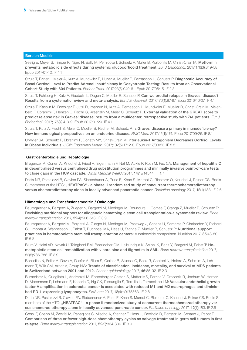Seelig E, Meyer S, Timper K, Nigro N, Bally M, Pernicova I, Schuetz P, Muller B, Korbonits M, Christ-Crain M. Metformin prevents metabolic side effects during systemic glucocorticoid treatment. *Eur J Endocrinol.* 2017;176(3):349-58. Epub 2017/01/12. IF 4.1

Struja T, Briner L, Meier A, Kutz A, Mundwiler E, Huber A, Mueller B, Bernasconi L, Schuetz P. Diagnostic Accuracy of Basal Cortisol Level to Predict Adrenal Insufficiency in Cosyntropin Testing: Results from an Observational Cohort Study with 804 Patients. *Endocr Pract.* 2017;23(8):949-61. Epub 2017/06/15. IF 2.3

Struja T, Fehlberg H, Kutz A, Guebelin L, Degen C, Mueller B, Schuetz P. Can we predict relapse in Graves' disease? Results from a systematic review and meta-analysis. *Eur J Endocrinol.* 2017;176(1):87-97. Epub 2016/10/27. IF 4.1

Struja T, Kaeslin M, Boesiger F, Jutzi R, Imahorn N, Kutz A, Bernasconi L, Mundwiler E, Mueller B, Christ-Crain M, Meienberg F, Ebrahimi F, Henzen C, Fischli S, Kraenzlin M, Meier C, Schuetz P. External validation of the GREAT score to predict relapse risk in Graves' disease: results from a multicenter, retrospective study with 741 patients. *Eur J Endocrinol.* 2017;176(4):413-9. Epub 2017/01/20. IF 4.1

Struja T, Kutz A, Fischli S, Meier C, Mueller B, Recher M, Schuetz P. Is Graves' disease a primary immunodeficiency? New immunological perspectives on an endocrine disease. *BMC Med.* 2017;15(1):174. Epub 2017/09/26. IF 8.1

Urwyler SA, Schuetz P, Ebrahimi F, Donath MY, Christ-Crain M. Interleukin-1 Antagonism Decreases Cortisol Levels in Obese Individuals. *J Clin Endocrinol Metab.* 2017;102(5):1712-8. Epub 2017/03/23. IF 5.5

#### Gastroenterologie und Hepatologie

Bregenzer A, Conen A, Knuchel J, Friedl A, Eigenmann F, Naf M, Ackle P, Roth M, Fux CA: Management of hepatitis C in decentralised versus centralised drug substitution programmes and minimally invasive point-of-care tests to close gaps in the HCV cascade. *Swiss Medical Weekly* 2017, 147:w14544. IF 1.7

Datta NR, Pestalozzi B, Clavien PA, Siebenhuner A, Puric E, Khan S, Mamot C, Riesterer O, Knuchel J, Reiner CS, Bodis S, members of the HTG: "HEATPAC" - a phase II randomized study of concurrent thermochemoradiotherapy versus chemoradiotherapy alone in locally advanced pancreatic cancer. *Radiation oncology* 2017, 12(1):183. IF 2.6

#### Hämatologie und Transfusionsmedizin / Onkologie

Baumgartner A, Bargetzi A, Zueger N, Bargetzi M, Medinger M, Bounoure L, Gomes F, Stanga Z, Mueller B, Schuetz P: Revisiting nutritional support for allogeneic hematologic stem cell transplantation-a systematic review. *Bone marrow transplantation* 2017, 52(4):506-513. IF 3.9

Baumgartner A, Bargetzi M, Bargetzi A, Zueger N, Medinger M, Passweg J, Schanz U, Samaras P, Chalandon Y, Pichard C, Limonta A, Wannesson L, Pabst T, Duchosal MA, Hess U, Stanga Z, Mueller B, Schuetz P: Nutritional support practices in hematopoietic stem cell transplantation centers: A nationwide comparison. Nutrition 2017, 35:43-50. IF 5.3

Blum V, Heini AD, Novak U, Taleghani BM, Baerlocher GM, Leibundgut K, Seipel K, Banz Y, Bargetzi M, Pabst T: Hematopoietic stem cell remobilization with vinorelbine and filgrastim in AML. *Bone marrow transplantation* 2017, 52(5):786-788. IF 3.9

Bonadies N, Feller A, Rovo A, Ruefer A, Blum S, Gerber B, Stuessi G, Benz R, Cantoni N, Holbro A, Schmidt A, Lehmann T, Wilk CM, Arndt V, Group NW: Trends of classification, incidence, mortality, and survival of MDS patients in Switzerland between 2001 and 2012. *Cancer epidemiology* 2017, 46:85-92. IF 2.3

Burmeister K, Quagliata L, Andreozzi M, Eppenberger-Castori S, Matter MS, Perrina V, Grobholz R, Jochum W, Horber D, Moosmann P, Lehmann F, Koberle D, Ng CK, Piscuoglio S, Tornillo L, Terracciano LM: Vascular endothelial growth factor A amplification in colorectal cancer is associated with reduced M1 and M2 macrophages and diminished PD-1-expressing lymphocytes. *PloS one* 2017, 12(4):e0175563. IF 2.8

Datta NR, Pestalozzi B, Clavien PA, Siebenhuner A, Puric E, Khan S, Mamot C, Riesterer O, Knuchel J, Reiner CS, Bodis S, members of the HTG: "HEATPAC" - a phase II randomized study of concurrent thermochemoradiotherapy versus chemoradiotherapy alone in locally advanced pancreatic cancer. *Radiation oncology* 2017, 12(1):183. IF 2.6

Gossi F, Spahn M, Zweifel M, Panagiotis S, Mischo A, Stenner F, Hess U, Berthold D, Bargetzi M, Schardt J, Pabst T: Comparison of three or fewer high-dose chemotherapy cycles as salvage treatment in germ cell tumors in first relapse. *Bone marrow transplantation* 2017, 52(2):334-336. IF 3.9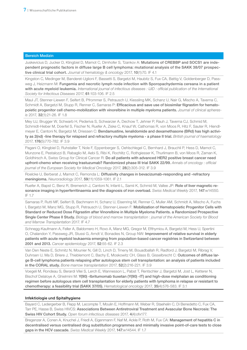Juskevicius D, Jucker D, Klingbiel D, Mamot C, Dirnhofer S, Tzankov A: Mutations of CREBBP and SOCS1 are independent prognostic factors in diffuse large B cell lymphoma: mutational analysis of the SAKK 38/07 prospective clinical trial cohort. *Journal of hematology & oncology* 2017, 10(1):70. IF 4.1

Kingston C, Medinger M, Banderet-Uglioni F, Bassetti S, Bargetzi M, Haubitz S, Fux CA, Battig V, Goldenberger D, Passweg J, Heizmann M: Fungemia and necrotic lymph node infection with Sporopachydermia cereana in a patient with acute myeloid leukemia. *International journal of infectious diseases : IJID : official publication of the International Society for Infectious Diseases* 2017, 61:103-106. IF 2.5

Maul JT, Stenner-Liewen F, Seifert B, Pfrommer S, Petrausch U, Kiessling MK, Schanz U, Nair G, Mischo A, Taverna C, Schmidt A, Bargetzi M, Stupp R, Renner C, Samaras P: Efficacious and save use of biosimilar filgrastim for hematopoietic progenitor cell chemo-mobilization with vinorelbine in multiple myeloma patients. *Journal of clinical apheresis* 2017, 32(1):21-26. IF 1.8

Mey UJ, Brugger W, Schwarb H, Pederiva S, Schwarzer A, Dechow T, Jehner P, Rauh J, Taverna CJ, Schmid M, Schmidt-Hieber M, Doerfel S, Fischer N, Ruefer A, Ziske C, Knauf W, Cathomas R, von Moos R, Hitz F, Sauter R, Hiendlmeyer E, Cantoni N, Bargetzi M, Driessen C: Bendamustine, lenalidomide and dexamethasone (BRd) has high activity as 2(nd) -line therapy for relapsed and refractory multiple myeloma - a phase II trial. *British journal of haematology* 2017, 176(5):770-782. IF 3.9

Pagani O, Klingbiel D, Ruhstaller T, Nole F, Eppenberger S, Oehlschlegel C, Bernhard J, Brauchli P, Hess D, Mamot C, Munzone E, Pestalozzi B, Rabaglio M, Aebi S, Ribi K, Rochlitz C, Rothgiesser K, Thurlimann B, von Moos R, Zaman K, Goldhirsch A, Swiss Group for Clinical Cancer R: Do all patients with advanced HER2 positive breast cancer need upfront-chemo when receiving trastuzumab? Randomized phase III trial SAKK 22/99. *Annals of oncology : official journal of the European Society for Medical Oncology* 2017, 28(2):305-312. IF 3.9

Roelcke U, Berberat J, Mamot C, Remonda L: Diffusivity changes in bevacizumab-responding and -refractory meningioma. *Neuroradiology* 2017, 59(11):1059-1061. IF 2.1

Ruefer A, Bapst C, Benz R, Bremerich J, Cantoni N, Infanti L, Samii K, Schmid M, Vallee JP: Role of liver magnetic resonance imaging in hyperferritinaemia and the diagnosis of iron overload. *Swiss Medical Weekly* 2017, 147:w14550. IF 1.7

Samaras P, Rutti MF, Seifert B, Bachmann H, Schanz U, Eisenring M, Renner C, Muller AM, Schmidt A, Mischo A, Fuchs I, Bargetzi M, Manz MG, Stupp R, Petrausch U, Stenner-Liewen F: Mobilization of Hematopoietic Progenitor Cells with Standard or Reduced Dose Filgrastim after Vinorelbine in Multiple Myeloma Patients. a Randomized Prospective Single Center Phase II Study. *Biology of blood and marrow transplantation* : *journal of the American Society for Blood and Marrow Transplantation* 2017. IF 4.7

Schnegg-Kaufmann A, Feller A, Baldomero H, Rovo A, Manz MG, Gregor M, Efthymiou A, Bargetzi M, Hess U, Spertini O, Chalandon Y, Passweg JR, Stussi G, Arndt V, Bonadies N, Group NW: Improvement of relative survival in elderly patients with acute myeloid leukaemia emerging from population-based cancer registries in Switzerland between 2001 and 2013. *Cancer epidemiology* 2017, 52:55-62. IF 2.3

Van Den Neste E, Schmitz N, Mounier N, Gill D, Linch D, Trneny M, Bouadballah R, Radford J, Bargetzi M, Ribrag V, Duhrsen U, Ma D, Briere J, Thieblemont C, Bachy E, Moskowitz CH, Glass B, Gisselbrecht C: Outcomes of diffuse large B-cell lymphoma patients relapsing after autologous stem cell transplantation: an analysis of patients included in the CORAL study. *Bone marrow transplantation* 2017, 52(2):216-221. IF 3.9

Voegeli M, Rondeau S, Berardi Vilei S, Lerch E, Wannesson L, Pabst T, Rentschler J, Bargetzi M, Jost L, Ketterer N, Bischof Delaloye A, Ghielmini M: Y(90) -Ibritumomab tiuxetan (Y(90) -IT) and high-dose melphalan as conditioning regimen before autologous stem cell transplantation for elderly patients with lymphoma in relapse or resistant to chemotherapy: a feasibility trial (SAKK 37/05). *Hematological oncology* 2017, 35(4):576-583. IF 3.1

#### Infektiologie und Spitalhygiene

Bayard C, Ledergerber B, Flepp M, Lecompte T, Moulin E, Hoffmann M, Weber R, Staehelin C, Di Benedetto C, Fux CA, Tarr PE, Hasse B, Swiss HIVCS: Associations Between Antiretroviral Treatment and Avascular Bone Necrosis: The Swiss HIV Cohort Study. *Open forum infectious diseases* 2017, 4(4):ofx177.

Bregenzer A, Conen A, Knuchel J, Friedl A, Eigenmann F, Naf M, Ackle P, Roth M, Fux CA: Management of hepatitis C in decentralised versus centralised drug substitution programmes and minimally invasive point-of-care tests to close gaps in the HCV cascade. *Swiss Medical Weekly* 2017, 147:w14544. IF 1.7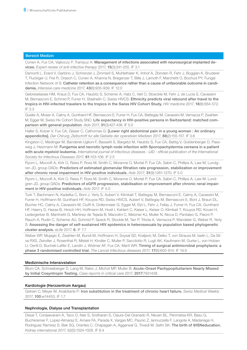Conen A, Fux CA, Vajkoczy P, Trampuz A: Management of infections associated with neurosurgical implanted devices. *Expert review of anti-infective therapy* 2017, 15(3):241-255. IF 3.1

Damonti L, Erard V, Garbino J, Schrenzel J, Zimmerli S, Muhlethaler K, Imhof A, Zbinden R, Fehr J, Boggian K, Bruderer T, Fluckiger U, Frei R, Orasch C, Conen A, Khanna N, Bregenzer T, Bille J, Lamoth F, Marchetti O, Bochud PY, Fungal Infection Network of S: Catheter retention as a consequence rather than a cause of unfavorable outcome in candidemia. *Intensive care medicine* 2017, 43(6):935-939. IF 12.0

Gebreselassie HM, Kraus D, Fux CA, Haubitz S, Scherrer A, Hatz C, Veit O, Stoeckle M, Fehr J, de Lucia S, Cavassini M, Bernasconi E, Schmid P, Furrer H, Staehelin C, Swiss HIVCS: Ethnicity predicts viral rebound after travel to the tropics in HIV-infected travelers to the tropics in the Swiss HIV Cohort Study. *HIV medicine* 2017, 18(8):564-572. IF 3.3

Gueler A, Moser A, Calmy A, Gunthard HF, Bernasconi E, Furrer H, Fux CA, Battegay M, Cavassini M, Vernazza P, Zwahlen M, Egger M, Swiss Hiv Cohort Study SNC: Life expectancy in HIV-positive persons in Switzerland: matched comparison with general population. *Aids* 2017, 31(3):427-436. IF 5.0

Haller S, Kolzer V, Fux CA, Glaser C, Cathomas G: [Lower right abdominal pain in a young woman : An ordinary appendicitis]. *Der Chirurg; Zeitschrift fur alle Gebiete der operativen Medizen* 2017, 88(2):155-157. IF 0.6

Kingston C, Medinger M, Banderet-Uglioni F, Bassetti S, Bargetzi M, Haubitz S, Fux CA, Battig V, Goldenberger D, Passweg J, Heizmann M: Fungemia and necrotic lymph node infection with Sporopachydermia cereana in a patient with acute myeloid leukemia. *International journal of infectious diseases : IJID : official publication of the International Society for Infectious Diseases* 2017, 61:103-106. IF 2.5

Ryom L, Mocroft A, Kirk O, Reiss P, Ross M, Smith C, Moranne O, Morlat P, Fux CA, Sabin C, Phillips A, Law M, Lundgren JD, group DADs: Predictors of estimated glomerular filtration rate progression, stabilization or improvement after chronic renal impairment in HIV-positive individuals. *Aids* 2017, 31(9):1261-1270. IF 5.0

Ryom L, Mocroft A, Kirk O, Reiss P, Ross M, Smith C, Moranne O, Morlat P, Fux CA, Sabin C, Phillips A, Law M, Lundgren JD, group DADs: Predictors of eGFR progression, stabilisation or improvement after chronic renal impairment in HIV-positive individuals. *Aids* 2017. IF 5.0

Turk T, Bachmann N, Kadelka C, Boni J, Yerly S, Aubert V, Klimkait T, Battegay M, Bernasconi E, Calmy A, Cavassini M, Furrer H, Hoffmann M, Gunthard HF, Kouyos RD, Swiss HIVCS, Aubert V, Battegay M, Bernasconi E, Boni J, Braun DL, Bucher HC, Calmy A, Cavassini M, Ciuffi A, Dollenmaier G, Egger M, Elzi L, Fehr J, Fellay J, Furrer H, Fux CA, Gunthard HF, Haerry D, Hasse B, Hirsch HH, Hoffmann M, Hosli I, Kahlert C, Kaiser L, Keiser O, Klimkait T, Kouyos RD, Kovari H, Ledergerber B, Martinetti G, Martinez de Tejada B, Marzolini C, Metzner KJ, Muller N, Nicca D, Pantaleo G, Paioni P, Rauch A, Rudin C, Scherrer AU, Schmid P, Speck R, Stockle M, Tarr P, Trkola A, Vernazza P, Wandeler G, Weber R, Yerly S: Assessing the danger of self-sustained HIV epidemics in heterosexuals by population based phylogenetic cluster analysis. *eLife* 2017, 6. IF 7.7

Weber WP, Mujagic E, Zwahlen M, Bundi M, Hoffmann H, Soysal SD, Kraljevic M, Delko T, von Strauss M, Iselin L, Da Silva RXS, Zeindler J, Rosenthal R, Misteli H, Kindler C, Muller P, Saccilotto R, Lugli AK, Kaufmann M, Gurke L, von Holzen U, Oertli D, Bucheli-Laffer E, Landin J, Widmer AF, Fux CA, Marti WR: Timing of surgical antimicrobial prophylaxis: a phase 3 randomised controlled trial. *The Lancet Infectious diseases* 2017, 17(6):605-614. IF 19.9

# Medizinische Intensivstation

Blum CA, Schneeberger D, Lang M, Rakic J, Michot MP, Muller B: Acute-Onset Panhypopituitarism Nearly Missed by Initial Cosyntropin Testing. *Case reports in critical care* 2017, 2017:7931438.

# Kardiologie (Herzzentrum Aargau)

Gstrein C, Meyer M, Anabitarte P: Iron substitution in the treatment of chronic heart failure. *Swiss Medical Weekly* 2017, 100:w14453. IF 1.7

# Nephrologie, Dialyse und Transplantation

Desai T, Conjeevaram A, Taco O, Nair S, Sridharan S, Claure-Del Granado R, Neuen BL, Penmatsa KR, Basu G, Buchkremer F, Lopez-Almaraz E, Amare FA, Parada X, Vargas MC, Paunic Z, Iannuzzella F, Langote A, Madariaga H, Rodriguez Ramirez S, Bek SG, Orantes C, Chapagain A, Aggarwal G, Trivedi M, Sethi SK: The birth of @ISNeducation. *Kidney international 2017*, 92(5):1024-1028. IF 8.4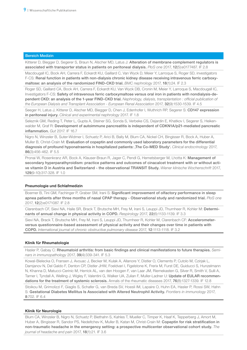Kitterer D, Biegger D, Segerer S, Braun N, Alscher MD, Latus J: Alteration of membrane complement regulators is associated with transporter status in patients on peritoneal dialysis. *PloS one* 2017, 12(5):e0177487. IF 2.8

Macdougall IC, Bock AH, Carrera F, Eckardt KU, Gaillard C, Van Wyck D, Meier Y, Larroque S, Roger SD, investigators F-CS: Renal function in patients with non-dialysis chronic kidney disease receiving intravenous ferric carboxymaltose: an analysis of the randomized FIND-CKD trial. *BMC nephrology* 2017, 18(1):24. IF 2.3

Roger SD, Gaillard CA, Bock AH, Carrera F, Eckardt KU, Van Wyck DB, Cronin M, Meier Y, Larroque S, Macdougall IC, Investigators F-CS: Safety of intravenous ferric carboxymaltose versus oral iron in patients with nondialysis-dependent CKD: an analysis of the 1-year FIND-CKD trial. *Nephrology, dialysis, transplantation : official publication of the European Dialysis and Transplant Association - European Renal Association* 2017, 32(9):1530-1539. IF 4.5

Seeger H, Latus J, Kitterer D, Alscher MD, Biegger D, Chen J, Edenhofer I, Wuthrich RP, Segerer S: CD147 expression in peritoneal injury. *Clinical and experimental nephrology* 2017. IF 1.8

Seleznik GM, Reding T, Peter L, Gupta A, Steiner SG, Sonda S, Verbeke CS, Dejardin E, Khatkov I, Segerer S, Heikenwalder M, Graf R: Development of autoimmune pancreatitis is independent of CDKN1A/p21-mediated pancreatic inflammation. *Gut* 2017. IF 16.7

Nigro N, Winzeler B, Suter-Widmer I, Schuetz P, Arici B, Bally M, Blum CA, Nickel CH, Bingisser R, Bock A, Huber A, Muller B, Christ-Crain M: Evaluation of copeptin and commonly used laboratory parameters for the differential diagnosis of profound hyponatraemia in hospitalized patients: 'The Co-MED Study'. *Clinical endocrinology* 2017, 86(3):456-462. IF 5.5

Pronai W, Rosenkranz AR, Bock A, Klauser-Braun R, Jager C, Pendl G, Hemetsberger M, Lhotta K: Management of secondary hyperparathyroidism: practice patterns and outcomes of cinacalcet treatment with or without active vitamin D in Austria and Switzerland - the observational TRANSIT Study. *Wiener klinische Wochenschrift* 2017, 129(9-10):317-328. IF 1.0

# Pneumologie und Schlafmedizin

Boerner B, Tini GM, Fachinger P, Graber SM, Irani S: Significant improvement of olfactory performance in sleep apnea patients after three months of nasal CPAP therapy - Observational study and randomized trial. *PloS one* 2017, 12(2):e0171087. IF 2.8

Clarenbach CF, Sievi NA, Haile SR, Brack T, Brutsche MH, Frey M, Irani S, Leuppi JD, Thurnheer R, Kohler M: Determinants of annual change in physical activity in COPD. *Respirology* 2017, 22(6):1133-1139. IF 3.3

Sievi NA, Brack T, Brutsche MH, Frey M, Irani S, Leuppi JD, Thurnheer R, Kohler M, Clarenbach CF: Accelerometerversus questionnaire-based assessment of physical activity and their changes over time in patients with COPD. *International journal of chronic obstructive pulmonary disease* 2017, 12:1113-1118. IF 3.2

# Klinik für Rheumatologie

Hasler P, Gabay C: Rheumatoid arthritis: from basic findings and clinical manifestations to future therapies. *Seminars in immunopathology* 2017, 39(4):339-341. IF 5.3

Kowal-Bielecka O, Fransen J, Avouac J, Becker M, Kulak A, Allanore Y, Distler O, Clements P, Cutolo M, Czirjak L, Damjanov N, Del Galdo F, Denton CP, Distler JHW, Foeldvari I, Figelstone K, Frerix M, Furst DE, Guiducci S, Hunzelmann N, Khanna D, Matucci-Cerinic M, Herrick AL, van den Hoogen F, van Laar JM, Riemekasten G, Silver R, Smith V, Sulli A, Tarner I, Tyndall A, Welling J, Wigley F, Valentini G, Walker UA, Zulian F, Muller-Ladner U: Update of EULAR recommendations for the treatment of systemic sclerosis. Annals of the rheumatic diseases 2017, 76(8):1327-1339. IF 12.8

Stoikou M, Grimolizzi F, Giaglis S, Schafer G, van Breda SV, Hoesli IM, Lapaire O, Huhn EA, Hasler P, Rossi SW, Hahn S: Gestational Diabetes Mellitus Is Associated with Altered Neutrophil Activity. *Frontiers in immunology* 2017, 8:702. IF 6.4

#### Klinik für Neurologie

Blum CA, Winzeler B, Nigro N, Schuetz P, Biethahn S, Kahles T, Mueller C, Timper K, Haaf K, Tepperberg J, Amort M, Huber A, Bingisser R, Sandor PS, Nedeltchev K, Muller B, Katan M, Christ-Crain M; Copeptin for risk stratification in non-traumatic headache in the emergency setting: a prospective multicenter observational cohort study. *The journal of headache and pain* 2017, 18(1):21. IF 3.6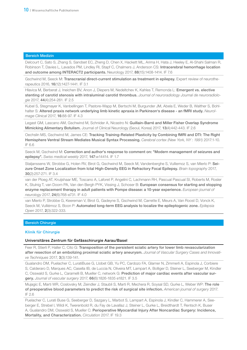Delcourt C, Sato S, Zhang S, Sandset EC, Zheng D, Chen X, Hackett ML, Arima H, Hata J, Heeley E, Al-Shahi Salman R, Robinson T, Davies L, Lavados PM, Lindley RI, Stapf C, Chalmers J, Anderson CS: Intracerebral hemorrhage location and outcome among INTERACT2 participants. Neurology 2017, 88(15):1408-1414. IF 7.6

Gschwind M, Seeck M: Transcranial direct-current stimulation as treatment in epilepsy. Expert review of neurotherapeutics 2016, 16(12):1427-1441. IF 3.1

Hlavica M, Berberat J, Ineichen BV, Anon J, Diepers M, Nedeltchev K, Kahles T, Remonda L; Emergent vs. elective stenting of carotid stenosis with intraluminal carotid thrombus. *Journal of neuroradiology Journal de neuroradiologie* 2017, 44(4):254-261. IF 2.5

Kubel S, Stegmayer K, Vanbellingen T, Pastore-Wapp M, Bertschi M, Burgunder JM, Abela E, Weder B, Walther S, Bohlhalter S: Altered praxis network underlying limb kinetic apraxia in Parkinson's disease - an fMRI study. *NeuroImage Clinical* 2017, 16:88-97. IF 4.3

Legast GM, Lascano AM, Gschwind M, Schnider A, Nicastro N: Guillain-Barré and Miller Fisher Overlap Syndrome Mimicking Alimentary Botulism. Journal of Clinical Neurology (Seoul, Korea) 2017, 13(4):442-443. IF 2.6

Oechslin MS, Gschwind M, James CE: Tracking Training-Related Plasticity by Combining fMRI and DTI: The Right Hemisphere Ventral Stream Mediates Musical Syntax Processing. *Cerebral cortex (New York, NY : 1991)* 2017:1-10. IF 6.6

Seeck M, Gschwind M: Correction and author's response to comment on: "Modern management of seizures and epilepsy". *Swiss medical weekly* 2017, 147:w14414. IF 1.7

Staljanssens W, Strobbe G, Holen RV, Birot G, Gschwind M, Seeck M, Vandenberghe S, Vulliemoz S, van Mierlo P: Seizure Onset Zone Localization from Ictal High-Density EEG in Refractory Focal Epilepsy. *Brain topography* 2017, 30(2):257-271. IF 3.4

van der Ploeg AT, Kruijshaar ME, Toscano A, Laforet P, Angelini C, Lachmann RH, Pascual Pascual SI, Roberts M, Rosler K, Stulnig T, van Doorn PA, Van den Bergh PYK, Vissing J, Schoser B: European consensus for starting and stopping enzyme replacement therapy in adult patients with Pompe disease: a 10-year experience. *European journal of neurology* 2017, 24(6):768-e731. IF 4.0

van Mierlo P, Strobbe G, Keereman V, Birot G, Gadeyne S, Gschwind M, Carrette E, Meurs A, Van Roost D, Vonck K, Seeck M, Vulliémoz S, Boon P: Automated long-term EEG analysis to localize the epileptogenic zone. *Epilepsia Open* 2017, 2(3):322-333.

#### Bereich Chirurgie

#### Klinik für Chirurgie

#### Universitäres Zentrum für Gefässchirurgie Aarau/Basel

Feer R, Stierli P, Haller C, Cito G: Transposition of the persistent sciatic artery for lower limb revascularization after resection of an embolizing proximal sciatic artery aneurysm. *Journal of Vascular Surgery Cases and Innovative Techniques* 2017, 3(3):139-141.

Gualandro DM, Puelacher C, LuratiBuse G, Llobet GB, Yu PC, Cardozo FA, Glarner N, Zimmerli A, Espinola J, Corbiere S, Calderaro D, Marques AC, Casella IB, de Luccia N, Oliveira MT, Lampart A, Bolliger D, Steiner L, Seeberger M, Kindler C, Osswald S, Gurke L, Caramelli B, Mueller C, network G: Prediction of major cardiac events after vascular surgery. *Journal of vascular surgery* 2017, 66(6):1826-1835 e1821. IF 3.5

Mujagic E, Marti WR, Coslovsky M, Zeindler J, Staubli S, Marti R, Mechera R, Soysal SD, Gurke L, Weber WP: The role of preoperative blood parameters to predict the risk of surgical site infection. *American journal of surgery* 2017. IF 2.6

Puelacher C, Lurati Buse G, Seeberger D, Sazgary L, Marbot S, Lampart A, Espinola J, Kindler C, Hammerer A, Seeberger E, Strebel I, Wildi K, Twerenbold R, du Fay de Lavallaz J, Steiner L, Gurke L, Breidthardt T, Rentsch K, Buser A, Gualandro DM, Osswald S, Mueller C: Perioperative Myocardial Injury After Noncardiac Surgery: Incidence, Mortality, and Characterization. *Circulation* 2017. IF 19.3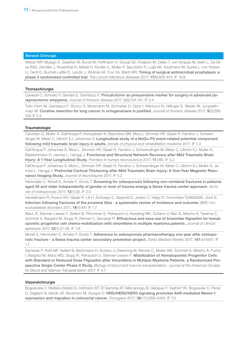Weber WP, Mujagic E, Zwahlen M, Bundi M, Hoffmann H, Soysal SD, Kraljevic M, Delko T, von Strauss M, Iselin L, Da Silva RXS, Zeindler J, Rosenthal R, Misteli H, Kindler C, Muller P, Saccilotto R, Lugli AK, Kaufmann M, Gurke L, von Holzen U, Oertli D, Bucheli-Laffer E, Landin J, Widmer AF, Fux CA, Marti WR: Timing of surgical antimicrobial prophylaxis: a phase 3 randomised controlled trial. *The Lancet Infectious diseases* 2017, 17(6):605-614. IF 19.9

# Thoraxchirurgie

Caviezel C, Schuetz P, Gerdes S, Gambazzi F: Procalcitonin as preoperative marker for surgery in advanced parapneumonic empyema. *Journal of thoracic disease* 2017, 9(3):734-741. IF 2.4

Tutic-Horn M, Gambazzi F, Rocco G, Mosimann M, Schneiter D, Opitz I, Martucci N, Hillinger S, Weder W, Jungraithmayr W: Curative resection for lung cancer in octogenarians is justified. *Journal of thoracic disease* 2017, 9(2):296- 302 IF 2.4

#### **Traumatologie**

Candrian G, Muller A, Dall'Acqua P, Kompatsiari K, Baschera GM, Mica L, Simmen HP, Glaab R, Fandino J, Schwendinger M, Meier C, Ulbrich EJ, Johannes S: Longitudinal study of a NoGo-P3 event-related potential component following mild traumatic brain injury in adults. *Annals of physical and rehabilitation medicine* 2017. IF 1.3

Dall'Acqua P, Johannes S, Mica L, Simmen HP, Glaab R, Fandino J, Schwendinger M, Meier C, Ulbrich EJ, Muller A, Baetschmann H, Jancke L, Hanggi J: Functional and Structural Network Recovery after Mild Traumatic Brain Injury: A 1-Year Longitudinal Study. *Frontiers in human neuroscience* 2017, 11:280. IF 3.2

Dall'Acqua P, Johannes S, Mica L, Simmen HP, Glaab R, Fandino J, Schwendinger M, Meier C, Ulbrich EJ, Muller A, Jancke L, Hanggi J: Prefrontal Cortical Thickening after Mild Traumatic Brain Injury: A One-Year Magnetic Resonance Imaging Study. *Journal of neurotrauma* 2017. IF 5.2

Hemmeler C, Morell S, Amsler F, Gross T: Screening for osteoporosis following non-vertebral fractures in patients aged 50 and older independently of gender or level of trauma energy-a Swiss trauma center approach. *Archives of osteoporosis* 2017, 12(1):38. IF 2.0

Henkelmann R, Frosch KH, Glaab R, Lill H, Schoepp C, Seybold D, Josten C, Hepp P, Committee TotAGASfA, Joint S: Infection following fractures of the proximal tibia - a systematic review of incidence and outcome. *BMC musculoskeletal disorders* 2017, 18(1):481 IF 1.7

Maul JT, Stenner-Liewen F, Seifert B, Pfrommer S, Petrausch U, Kiessling MK, Schanz U, Nair G, Mischo A, Taverna C, Schmidt A, Bargetzi M, Stupp R, Renner C, Samaras P: Efficacious and save use of biosimilar filgrastim for hematopoietic progenitor cell chemo-mobilization with vinorelbine in multiple myeloma patients. *Journal of clinical apheresis* 2017, 32(1):21-26. IF 1.8

Morell S, Hemmeler C, Amsler F, Gross T: Adherence to osteoporosis pharmacotherapy one year after osteoporotic fracture - a Swiss trauma center secondary prevention project. *Swiss Medical Weekly* 2017, 147:w14451. IF 1.7

Samaras P, Rutti MF, Seifert B, Bachmann H, Schanz U, Eisenring M, Renner C, Muller AM, Schmidt A, Mischo A, Fuchs I, Bargetzi M, Manz MG, Stupp R, Petrausch U, Stenner-Liewen F: Mobilization of Hematopoietic Progenitor Cells with Standard or Reduced Dose Filgrastim after Vinorelbine in Multiple Myeloma Patients. a Randomized Prospective Single Center Phase II Study. *Biology of blood and marrow transplantation : journal of the American Society for Blood and Marrow Transplantation* 2017. IF 4.7

#### Viszeralchirurgie

Bogoevska V, Wolters-Eisfeld G, Hofmann BT, El Gammal AT, Mercanoglu B, Gebauer F, Vashist YK, Bogoevski D, Perez D, Gagliani N, Izbicki JR, Bockhorn M, Gungor C: HRG/HER2/HER3 signaling promotes AhR-mediated Memo-1 expression and migration in colorectal cancer. *Oncogene* 2017, 36(17):2394-2404. IF 7.5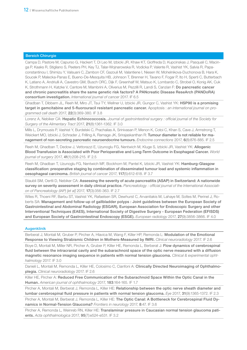Campa D, Pastore M, Capurso G, Hackert T, Di Leo M, Izbicki JR, Khaw KT, Gioffreda D, Kupcinskas J, Pasquali C, Macinga P, Kaaks R, Stigliano S, Peeters PH, Key TJ, Talar-Wojnarowska R, Vodicka P, Valente R, Vashist YK, Salvia R, Papaconstantinou I, Shimizu Y, Valsuani C, Zambon CF, Gazouli M, Valantiene I, Niesen W, Mohelnikova-Duchonova B, Hara K, Soucek P, Malecka-Panas E, Bueno-De-Mesquita HB, Johnson T, Brenner H, Tavano F, Fogar P, Ito H, Sperti C, Butterbach K, Latiano A, Andriulli A, Cavestro GM, Busch ORC, Dijk F, Greenhalf W, Matsuo K, Lombardo C, Strobel O, Konig AK, Cuk K, Strothmann H, Katzke V, Cantore M, Mambrini A, Oliverius M, Pezzilli R, Landi S, Canzian F: Do pancreatic cancer and chronic pancreatitis share the same genetic risk factors? A PANcreatic Disease ReseArch (PANDoRA) consortium investigation. *International journal of cancer* 2017. IF 6.5

Ghadban T, Dibbern JL, Reeh M, Miro JT, Tsui TY, Wellner U, Izbicki JR, Gungor C, Vashist YK: HSP90 is a promising target in gemcitabine and 5-fluorouracil resistant pancreatic cancer. Apoptosis : *an international journal on programmed cell death* 2017, 22(3):369-380. IF 3.8

Lorenz A, Nebiker CA: Hepatic Echinococcosis. *Journal of gastrointestinal surgery : official journal of the Society for Surgery of the Alimentary Tract* 2017, 21(8):1361-1362. IF 3.0

Mills L, Drymousis P, Vashist Y, Burdelski C, Prachalias A, Srinivasan P, Menon K, Cotoi C, Khan S, Cave J, Armstrong T, Weickert MO, Izbicki J, Schrader J, Frilling A, Ramage JK, Srirajaskanthan R: Tumour diameter is not reliable for management of non-secreting pancreatic neuroendocrine tumours. *Endocrine connections* 2017, 6(8):876-885. IF 2.5

Reeh M, Ghadban T, Dedow J, Vettorazzi E, Uzunoglu FG, Nentwich M, Kluge S, Izbicki JR, Vashist YK: Allogenic Blood Transfusion is Associated with Poor Perioperative and Long-Term Outcome in Esophageal Cancer. *World journal of surgery* 2017, 41(1):208-215. IF 2.5

Reeh M, Ghadban T, Uzunoglu FG, Nentwich MF, Bockhorn M, Pantel K, Izbicki JR, Vashist YK: Hamburg-Glasgow classification: preoperative staging by combination of disseminated tumour load and systemic inflammation in oesophageal carcinoma. *British journal of cancer* 2017, 117(5):612-618. IF 3.7

Staubli SM, Oertli D, Nebiker CA: Assessing the severity of acute pancreatitis (ASAP) in Switzerland: A nationwide survey on severity assessment in daily clinical practice. *Pancreatology : official journal of the International Association of Pancreatology (IAP) [et al]* 2017, 17(3):356-363. IF 2.7

Wiles R, Thoeni RF, Barbu ST, Vashist YK, Rafaelsen SR, Dewhurst C, Arvanitakis M, Lahaye M, Soltes M, Perinel J, Roberts SA: Management and follow-up of gallbladder polyps : Joint guidelines between the European Society of Gastrointestinal and Abdominal Radiology (ESGAR), European Association for Endoscopic Surgery and other Interventional Techniques (EAES), International Society of Digestive Surgery - European Federation (EFISDS) and European Society of Gastrointestinal Endoscopy (ESGE). *European radiology* 2017, 27(9):3856-3866. IF 4.0

#### Augenklinik

Berberat J, Montali M, Gruber P, Pircher A, Hlavica M, Wang F, Killer HP, Remonda L: Modulation of the Emotional Response to Viewing Strabismic Children in Mothers-Measured by fMRI. *Clinical neuroradiology* 2017. IF 2.6

Boye D, Montali M, Miller NR, Pircher A, Gruber P, Killer HE, Remonda L, Berberat J: Flow dynamics of cerebrospinal fluid between the intracranial cavity and the subarachnoid space of the optic nerve measured with a diffusion magnetic resonance imaging sequence in patients with normal tension glaucoma. *Clinical & experimental ophthalmology* 2017. IF 3.0

Danieli L, Montali M, Remonda L, Killer HE, Colosimo C, Cianfoni A: Clinically Directed Neuroimaging of Ophthalmoplegia. *Clinical neuroradiology* 2017. IF 2.6

Killer HE, Pircher A: Reduced Free Communication of the Subarachnoid Space Within the Optic Canal in the Human. *American journal of ophthalmology* 2017, 183:164-165. IF 1.7

Pircher A, Montali M, Berberat J, Remonda L, Killer HE: Relationship between the optic nerve sheath diameter and lumbar cerebrospinal fluid pressure in patients with normal tension glaucoma. *Eye* 2017, 31(9):1365-1372. IF 2.3

Pircher A, Montali M, Berberat J, Remonda L, Killer HE: The Optic Canal: A Bottleneck for Cerebrospinal Fluid Dynamics in Normal-Tension Glaucoma? *Frontiers in neurology* 2017, 8:47. IF 3.6

Pircher A, Remonda L, Weinreb RN, Killer HE: Translaminar pressure in Caucasian normal tension glaucoma patients. *Acta ophthalmologica* 2017, 95(7):e524-e531. IF 3.2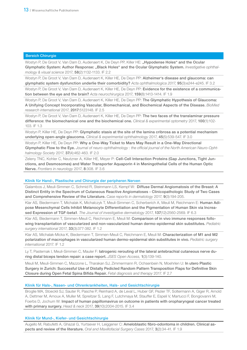Wostyn P, De Groot V, Van Dam D, Audenaert K, De Deyn PP, Killer HE: "Hypodense Holes" and the Ocular Glymphatic System: Author Response: "Black Holes" and the Ocular Glymphatic System. *Investigative ophthalmology & visual science* 2017, 58(2):1132-1133. IF 2.2

Wostyn P, De Groot V, Van Dam D, Audenaert K, Killer HE, De Deyn PP: Alzheimer's disease and glaucoma: can glymphatic system dysfunction underlie their comorbidity? *Acta ophthalmologica 2017,* 95(3):e244-e245. IF 3.2

Wostyn P, De Groot V, Van Dam D, Audenaert K, Killer HE, De Deyn PP: Evidence for the existence of a communication between the eye and the brain? *Acta neurochirurgica* 2017, 159(8):1413-1414. IF 1.9

Wostyn P, De Groot V, Van Dam D, Audenaert K, Killer HE, De Deyn PP: The Glymphatic Hypothesis of Glaucoma: A Unifying Concept Incorporating Vascular, Biomechanical, and Biochemical Aspects of the Disease. *BioMed research international* 2017, 2017:5123148. IF 2.5

Wostyn P, De Groot V, Van Dam D, Audenaert K, Killer HE, De Deyn PP: The two faces of the translaminar pressure difference: the biomechanical one and the biochemical one. *Clinical & experimental optometry* 2017, 100(1):102- 103. IF 1.3

Wostyn P, Killer HE, De Deyn PP: Glymphatic stasis at the site of the lamina cribrosa as a potential mechanism underlying open-angle glaucoma. *Clinical & experimental ophthalmology* 2017, 45(5):539-547. IF 3.0

Wostyn P, Killer HE, De Deyn PP: Why a One-Way Ticket to Mars May Result in a One-Way Directional Glymphatic Flow to the Eye. *Journal of neuro-ophthalmology : the official journal of the North American Neuro-Ophthalmology Society* 2017, 37(4):462-463. IF 2.0

Zeleny TNC, Kohler C, Neutzner A, Killer HE, Meyer P: Cell-Cell Interaction Proteins (Gap Junctions, Tight Junctions, and Desmosomes) and Water Transporter Aquaporin 4 in Meningothelial Cells of the Human Optic Nerve. *Frontiers in neurology* 2017, 8:308. IF 3.6

#### Klinik für Hand-, Plastische und Chirurgie der peripheren Nerven

Galambos J, Meuli-Simmen C, Schmid R, Steinmann LS, Kempf W: Diffuse Dermal Angiomatosis of the Breast: A Distinct Entity in the Spectrum of Cutaneous Reactive Angiomatoses - Clinicopathologic Study of Two Cases and Comprehensive Review of the Literature. *Case reports in dermatology* 2017, 9(3):194-205.

Klar AS, Biedermann T, Michalak K, Michalczyk T, Meuli-Simmen C, Scherberich A, Meuli M, Reichmann E: Human Adipose Mesenchymal Cells Inhibit Melanocyte Differentiation and the Pigmentation of Human Skin via Increased Expression of TGF-beta1. *The Journal of investigative dermatology* 2017, 137(12):2560-2569. IF 6.3

Klar AS, Biedermann T, Simmen-Meuli C, Reichmann E, Meuli M: Comparison of in vivo immune responses following transplantation of vascularized and non-vascularized human dermo-epidermal skin substitutes. *Pediatric surgery international* 2017, 33(3):377-382. IF 1.2

Klar AS, Michalak-Micka K, Biedermann T, Simmen-Meuli C, Reichmann E, Meuli M: Characterization of M1 and M2 polarization of macrophages in vascularized human dermo-epidermal skin substitutes in vivo. *Pediatric surgery international* 2017. IF 1.2

Ly T, Pasternak I, Meuli-Simmen C, Mauler F: latrogenic rerouting of the lateral antebrachial cutaneous nerve during distal biceps tendon repair: a case report. *JSES Open Access,* 1(3):139-140.

Meuli M, Meuli-Simmen C, Mazzone L, Tharakan SJ, Zimmermann R, Ochsenbein N, Moehrlen U: In utero Plastic Surgery in Zurich: Successful Use of Distally Pedicled Random Pattern Transposition Flaps for Definitive Skin Closure during Open Fetal Spina Bifida Repair. *Fetal diagnosis and therapy* 2017. IF 2.7

#### Klinik für Hals-, Nasen- und Ohrenkrankheiten, Hals- und Gesichtschirurgie

Broglie MA, Stoeckli SJ, Sauter R, Pasche P, Reinhard A, de Leval L, Huber GF, Pezier TF, Soltermann A, Giger R, Arnold A, Dettmer M, Arnoux A, Muller M, Spreitzer S, Lang F, Lutchmaya M, Stauffer E, Espeli V, Martucci F, Bongiovanni M, Foerbs D, Jochum W: Impact of human papillomavirus on outcome in patients with oropharyngeal cancer treated with primary surgery. *Head & neck* 2017, 39(10):2004-2015. IF 3.4

Klinik für Mund-, Kiefer- und Gesichtschirurgie

Augello M, Rabufetti A, Ghazal G, Yurtsever H, Leiggener C: Ameloblastic fibro-odontoma in children. Clinical aspects and review of the literature. *Oral and Maxillofacial Surgery Cases* 2017, 3(2):34-41. IF 1.9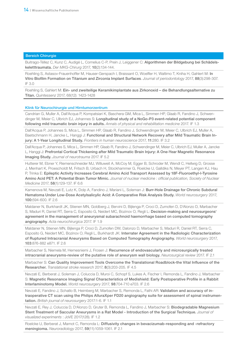Buitrago-Téllez C, Kunz C, Audigé L, Cornelius C-P, Prein J, Leiggener C: Algorithmen der Bildgebung bei Schädelskeletttraumata. *Der MKG-Chirurg* 2017, 10(2):134-144.

Roehling S, Astasov-Frauenhoffer M, Hauser-Gerspach I, Braissant O, Woelfler H, Waltimo T, Kniha H, Gahlert M: In Vitro Biofilm Formation on Titanium and Zirconia Implant Surfaces. *Journal of periodontology* 2017, 88(3):298-307. IF 3.0

Roehling S, Gahlert M: Ein- und zweiteilige Keramikimplantate aus Zirkonoxid - die Behandlungsalternative zu Titan. *Quintessenz* 2017, 68(12): 1423-1428

#### Klink für Neurochirurgie und Hirntumorzentrum

Candrian G, Muller A, Dall'Acqua P, Kompatsiari K, Baschera GM, Mica L, Simmen HP, Glaab R, Fandino J, Schwendinger M, Meier C, Ulbrich EJ, Johannes S: Longitudinal study of a NoGo-P3 event-related potential component following mild traumatic brain injury in adults. *Annals of physical and rehabilitation medicine* 2017. IF 1.3

Dall'Acqua P, Johannes S, Mica L, Simmen HP, Glaab R, Fandino J, Schwendinger M, Meier C, Ulbrich EJ, Muller A, Baetschmann H, Jancke L, Hanggi J: Functional and Structural Network Recovery after Mild Traumatic Brain Injury: A 1-Year Longitudinal Study. *Frontiers in human neuroscience* 2017, 11:280. IF 3.2

Dall'Acqua P, Johannes S, Mica L, Simmen HP, Glaab R, Fandino J, Schwendinger M, Meier C, Ulbrich EJ, Muller A, Jancke L, Hanggi J: Prefrontal Cortical Thickening after Mild Traumatic Brain Injury: A One-Year Magnetic Resonance Imaging Study. *Journal of neurotrauma* 2017. IF 5.2

Hutterer M, Ebner Y, Riemenschneider MJ, Willuweit A, McCoy M, Egger B, Schroder M, Wendl C, Hellwig D, Grosse J, Menhart K, Proescholdt M, Fritsch B, Urbach H, Stockhammer G, Roelcke U, Galldiks N, Meyer PT, Langen KJ, Hau P, Trinka E: Epileptic Activity Increases Cerebral Amino Acid Transport Assessed by 18F-Fluoroethyl-l-Tyrosine Amino Acid PET: A Potential Brain Tumor Mimic. *Journal of nuclear medicine : official publication, Society of Nuclear Medicine* 2017, 58(1):129-137. IF 6.6

Kamenova M, Nevzati E, Lutz K, Dolp A, Fandino J, Mariani L, Soleman J: Burr-Hole Drainage for Chronic Subdural Hematoma Under Low-Dose Acetylsalicylic Acid: A Comparative Risk Analysis Study. *World neurosurgery* 2017, 100:594-600. IF 2.6

Maldaner N, Burkhardt JK, Stienen MN, Goldberg J, Bervini D, Bijlenga P, Croci D, Zumofen D, D'Alonzo D, Marbacher S, Maduri R, Daniel RT, Serra C, Esposito G, Neidert MC, Bozinov O, Regli L: Decision-making and neurosurgeons' agreement in the management of aneurysmal subarachnoid haemorrhage based on computed tomography angiography. *Acta neurochirurgica* 2017. IF 1.9

Maldaner N, Stienen MN, Bijlenga P, Croci D, Zumofen DW, Dalonzo D, Marbacher S, Maduri R, Daniel RT, Serra C, Esposito G, Neidert MC, Bozinov O, Regli L, Burkhardt JK: Interrater Agreement in the Radiologic Characterization of Ruptured Intracranial Aneurysms Based on Computed Tomography Angiography. *World neurosurgery* 2017, 103:876-882 e871. IF 2.6

Marbacher S, Niemela M, Hernesniemi J, Frosen J: Recurrence of endovascularly and microsurgically treated intracranial aneurysms-review of the putative role of aneurysm wall biology. *Neurosurgical review* 2017. IF 2.1

Marbacher S: Can Quality Improvement Tools Overcome the Translational Roadblock-the Vital Influence of the Researcher. *Translational stroke research* 2017, 8(3):203-205. IF 4.5

Nevzati E, Berberat J, Soleman J, Coluccia D, Muroi C, Schopf S, Lukes A, Fischer I, Remonda L, Fandino J, Marbacher S: Magnetic Resonance Imaging Signal Characteristics of Medishield: Early Postoperative Profile in a Rabbit Interlaminotomy Model. *World neurosurgery* 2017, 98:704-710 e703. IF 2.6

Nevzati E, Fandino J, Schatlo B, Heimberg M, Marbacher S, Remonda L, Fathi AR: Validation and accuracy of intraoperative CT scan using the Philips AlluraXper FD20 angiography suite for assessment of spinal instrumentation. *British journal of neurosurgery* 2017:1-6. IF 1.1

Nevzati E, Rey J, Coluccia D, D'Alonzo D, Gruter B, Remonda L, Fandino J, Marbacher S: Biodegradable Magnesium Stent Treatment of Saccular Aneurysms in a Rat Model - Introduction of the Surgical Technique. *Journal of visualized experiments* : JoVE 2017(128). IF 1.2

Roelcke U, Berberat J, Mamot C, Remonda L: Diffusivity changes in bevacizumab-responding and -refractory meningioma. *Neuroradiology* 2017, 59(11):1059-1061. IF 2.1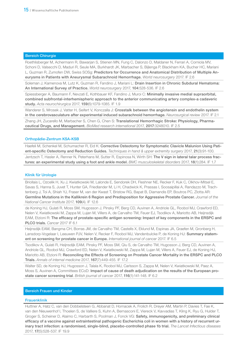Roethlisberger M, Achermann R, Bawarjan S, Stienen MN, Fung C, Dalonzo D, Maldaner N, Ferrari A, Corniola MV, Schoni D, Valsecchi D, Maduri R, Seule MA, Burkhardt JK, Marbacher S, Bijlenga P, Blackham KA, Bucher HC, Mariani L, Guzman R, Zumofen DW, Swiss SOSg: Predictors for Occurrence and Anatomical Distribution of Multiple Aneurysms in Patients with Aneurysmal Subarachnoid Hemorrhage. *World neurosurgery* 2017. IF 2.6

Soleman J, Kamenova M, Lutz K, Guzman R, Fandino J, Mariani L: Drain Insertion in Chronic Subdural Hematoma: An International Survey of Practice. *World neurosurgery* 2017, 104:528-536. IF 2.6

Spiessberger A, Baumann F, Nevzati E, Kothbauer KF, Fandino J, Muroi C: Minimally invasive medial supraorbital, combined subfrontal-interhemispheric approach to the anterior communicating artery complex-a cadaveric study. *Acta neurochirurgica* 2017, 159(6):1079-1085. IF 1.9

Wanderer S, Mrosek J, Vatter H, Seifert V, Konczalla J: Crosstalk between the angiotensin and endothelin system in the cerebrovasculature after experimental induced subarachnoid hemorrhage. *Neurosurgical review* 2017. IF 2.1

Zhang JH, Zucarello M, Marbacher S, Chen G, Chen S: Translational Hemorrhagic Stroke: Physiology, Pharmaceutical Drugs, and Management. *BioMed research international* 2017, 2017:3248010. IF 2.5

#### Orthopädie-Zentrum KSA-KSB

Haefeli M, Schenkel M, Schumacher R, Eid K: Corrective Osteotomy for Symptomatic Clavicle Malunion Using Patient-specific Osteotomy and Reduction Guides. *Techniques in hand & upper extremity surgery* 2017, 21(3):91-100. Jentzsch T, Hasler A, Renner N, Peterhans M, Sutter R, Espinosa N, Wirth SH: The V sign in lateral talar process fractures: an experimental study using a foot and ankle model. *BMC musculoskeletal disorders* 2017, 18(1):284. IF 1.7

#### Klinik für Urologie

Briollais L, Ozcelik H, Xu J, Kwiatkowski M, Lalonde E, Sendorek DH, Fleshner NE, Recker F, Kuk C, Olkhov-Mitsel E, Savas S, Hanna S, Juvet T, Hunter GA, Friedlander M, Li H, Chadwick K, Prassas I, Soosaipillai A, Randazzo M, Trachtenberg J, Toi A, Shiah YJ, Fraser M, van der Kwast T, Bristow RG, Bapat B, Diamandis EP, Boutros PC, Zlotta AR: Germline Mutations in the Kallikrein 6 Region and Predisposition for Aggressive Prostate Cancer. *Journal of the National Cancer Institute* 2017, 109(4). IF 12.6

de Koning HJ, Gulati R, Moss SM, Hugosson J, Pinsky PF, Berg CD, Auvinen A, Andriole GL, Roobol MJ, Crawford ED, Nelen V, Kwiatkowski M, Zappa M, Lujan M, Villers A, de Carvalho TM, Feuer EJ, Tsodikov A, Mariotto AB, Heijnsdijk EAM, Etzioni R: The efficacy of prostate-specific antigen screening: Impact of key components in the ERSPC and PLCO trials. *Cancer* 2017 IF 6.1

Heijnsdijk EAM, Bangma CH, Borras JM, de Carvalho TM, Castells X, Eklund M, Espinas JA, Graefen M, Gronberg H, Lansdorp-Vogelaar I, Leeuwen PJV, Nelen V, Recker F, Roobol MJ, Vandenbulcke P, de Koning HJ: Summary statement on screening for prostate cancer in Europe. *International journal of cancer* 2017. IF 6.5

Tsodikov A, Gulati R, Heijnsdijk EAM, Pinsky PF, Moss SM, Qiu S, de Carvalho TM, Hugosson J, Berg CD, Auvinen A, Andriole GL, Roobol MJ, Crawford ED, Nelen V, Kwiatkowski M, Zappa M, Lujan M, Villers A, Feuer EJ, de Koning HJ, Mariotto AB, Etzioni R: Reconciling the Effects of Screening on Prostate Cancer Mortality in the ERSPC and PLCO Trials. *Annals of internal medicine* 2017, 167(7):449-455. IF 17.2

Walter SD, de Koning HJ, Hugosson J, Talala K, Roobol MJ, Carlsson S, Zappa M, Nelen V, Kwiatkowski M, Paez A, Moss S, Auvinen A, Committees ECoD: Impact of cause of death adjudication on the results of the European prostate cancer screening trial. *British journal of cancer* 2017, 116(1):141-148. IF 6.2

#### Bereich Frauen und Kinder

#### Frauenklinik

Huttner A, Hatz C, van den Dobbelsteen G, Abbanat D, Hornacek A, Frolich R, Dreyer AM, Martin P, Davies T, Fae K, van den Nieuwenhof I, Thoelen S, de Valliere S, Kuhn A, Bernasconi E, Viereck V, Kavvadias T, Kling K, Ryu G, Hulder T, Groger S, Scheiner D, Alaimo C, Harbarth S, Poolman J, Fonck VG: Safety, immunogenicity, and preliminary clinical efficacy of a vaccine against extraintestinal pathogenic Escherichia coli in women with a history of recurrent urinary tract infection: a randomised, single-blind, placebo-controlled phase 1b trial. *The Lancet Infectious diseases* 2017, 17(5):528-537. IF 19.9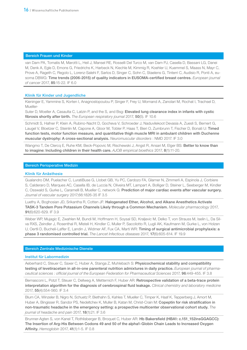#### Bereich Frauen und Kinder

van Dam PA, Tomatis M, Marotti L, Heil J, Mansel RE, Rosselli Del Turco M, van Dam PJ, Casella D, Bassani LG, Danei M, Denk A, Egle D, Emons G, Friedrichs K, Harbeck N, Kiechle M, Kimmig R, Koehler U, Kuemmel S, Maass N, Mayr C, Prove A, Rageth C, Regolo L, Lorenz-Salehi F, Sarlos D, Singer C, Sohn C, Staelens G, Tinterri C, Audisio R, Ponti A, eusoma DBWG: Time trends (2006-2015) of quality indicators in EUSOMA-certified breast centres. *European journal of cancer* 2017, 85:15-22. IF 6.0

#### Klinik für Kinder und Jugendliche

Kieninger E, Yammine S, Korten I, Anagnostopoulou P, Singer F, Frey U, Mornand A, Zanolari M, Rochat I, Trachsel D, Mueller-

Suter D, Moeller A, Casaulta C, Latzin P, and the S, and Bsg: Elevated lung clearance index in infants with cystic fibrosis shortly after birth. *The European respiratory journal* 2017, 50(5). IF 10.6

Schmidt S, Hafner P, Klein A, Rubino-Nacht D, Gocheva V, Schroeder J, Naduvilekoot Devasia A, Zuesli S, Bernert G, Laugel V, Bloetzer C, Steinlin M, Capone A, Gloor M, Tobler P, Haas T, Bieri O, Zumbrunn T, Fischer D, Bonati U: Timed function tests, motor function measure, and quantitative thigh muscle MRI in ambulant children with Duchenne muscular dystrophy: A cross-sectional analysis. *Neuromuscular disorders* : NMD 2017. IF 3.0

Wangmo T, De Clercq E, Ruhe KM, Beck-Popovic M, Rischewski J, Angst R, Ansari M, Elger BS: Better to know than to imagine: Including children in their health care. *AJOB empirical bioethics* 2017, 8(1):11-20.

#### Bereich Perioperative Medizin

#### Klinik für Anästhesie

Gualandro DM, Puelacher C, LuratiBuse G, Llobet GB, Yu PC, Cardozo FA, Glarner N, Zimmerli A, Espinola J, Corbiere S, Calderaro D, Marques AC, Casella IB, de Luccia N, Oliveira MT, Lampart A, Bolliger D, Steiner L, Seeberger M, Kindler C, Osswald S, Gurke L, Caramelli B, Mueller C, network G: Prediction of major cardiac events after vascular surgery. *Journal of vascular surgery* 2017;66:1826-35 IF 3.5

Luethy A, Boghosian JD, Srikantha R, Cotten JF: Halogenated Ether, Alcohol, and Alkane Anesthetics Activate TASK-3 Tandem Pore Potassium Channels Likely through a Common Mechanism. *Molecular pharmacology* 2017, 91(6):620-629. IF 3.9

Weber WP, Mujagic E, Zwahlen M, Bundi M, Hoffmann H, Soysal SD, Kraljevic M, Delko T, von Strauss M, Iselin L, Da Silva RXS, Zeindler J, Rosenthal R, Misteli H, Kindler C, Muller P, Saccilotto R, Lugli AK, Kaufmann M, Gurke L, von Holzen U, Oertli D, Bucheli-Laffer E, Landin J, Widmer AF, Fux CA, Marti WR: Timing of surgical antimicrobial prophylaxis: a phase 3 randomised controlled trial. *The Lancet Infectious diseases* 2017, 17(6):605-614. IF 19.9

#### Bereich Zentrale Medizinische Dienste

#### Institut für Labormedizin

Aeberhard C, Steuer C, Saxer C, Huber A, Stanga Z, Muhlebach S: Physicochemical stability and compatibility testing of levetiracetam in all-in-one parenteral nutrition admixtures in daily practice. *European journal of pharmaceutical sciences : official journal of the European Federation for Pharmaceutical Sciences* 2017, 96:449-455. IF 3.8

Bernasconi L, Potzl T, Steuer C, Dellweg A, Metternich F, Huber AR: Retrospective validation of a beta-trace protein interpretation algorithm for the diagnosis of cerebrospinal fluid leakage. *Clinical chemistry and laboratory medicine* 2017, 55(4):554-560. IF 3.4

Blum CA, Winzeler B, Nigro N, Schuetz P, Biethahn S, Kahles T, Mueller C, Timper K, Haaf K, Tepperberg J, Amort M, Huber A, Bingisser R, Sandor PS, Nedeltchev K, Muller B, Katan M, Christ-Crain M: Copeptin for risk stratification in non-traumatic headache in the emergency setting: a prospective multicenter observational cohort study. *The journal of headache and pain* 2017, 18(1):21. IF 3.6

Brunner-Agten S, von Kanel T, Rothlisberger B, Broquet C, Huber AR: Hb Bakersfield (HBA1: c.151\_152insGGAGCC): The Insertion of Arg-His Between Codons 49 and 50 of the alpha1-Globin Chain Leads to Increased Oxygen Affinity. *Hemoglobin* 2017, 41(1):1-5. IF 0.8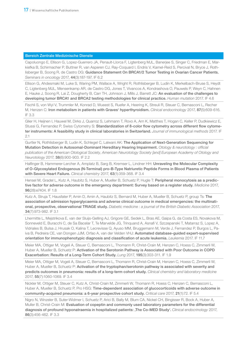Capoluongo E, Ellison G, Lopez-Guerrero JA, Penault-Llorca F, Ligtenberg MJL, Banerjee S, Singer C, Friedman E, Markiefka B, Schirmacher P, Buttner R, van Asperen CJ, Ray-Coquard I, Endris V, Kamel-Reid S, Percival N, Bryce J, Rothlisberger B, Soong R, de Castro DG: Guidance Statement On BRCA1/2 Tumor Testing in Ovarian Cancer Patients. *Seminars in oncology* 2017, 44(3):187-197. IF 6.2

Ellison G, Ahdesmaki M, Luke S, Waring PM, Wallace A, Wright R, Rothlisberger B, Ludin K, Merkelbach-Bruse S, Heydt C, Ligtenberg MJL, Mensenkamp AR, de Castro DG, Jones T, Vivancos A, Kondrashova O, Pauwels P, Weyn C, Hahnen E, Hauke J, Soong R, Lai Z, Dougherty B, Carr TH, Johnson J, Mills J, Barrett JC: An evaluation of the challenges to developing tumor BRCA1 and BRCA2 testing methodologies for clinical practice. *Human mutation* 2017. IF 4.6

Fischli S, von Wyl V, Trummler M, Konrad D, Wueest S, Ruefer A, Heering K, Streuli R, Steuer C, Bernasconi L, Recher M, Henzen C: Iron metabolism in patients with Graves' hyperthyroidism. *Clinical endocrinology* 2017, 87(5):609-616. IF 3.3

Glier H, Heijnen I, Hauwel M, Dirks J, Quarroz S, Lehmann T, Rovo A, Arn K, Matthes T, Hogan C, Keller P, Dudkiewicz E, Stussi G, Fernandez P, Swiss Cytometry S: Standardization of 8-color flow cytometry across different flow cytometer instruments: A feasibility study in clinical laboratories in Switzerland. *Journal of immunological methods* 2017. IF 2.1

Gurtler N, Rothlisberger B, Ludin K, Schlegel C, Lalwani AK: The Application of Next-Generation Sequencing for Mutation Detection in Autosomal-Dominant Hereditary Hearing Impairment. *Otology & neurotology : official publication of the American Otological Society, American Neurotology Society [and] European Academy of Otology and Neurotology* 2017, 38(6):900-903. IF 2.2

Halfinger B, Hammerer-Lercher A, Amplatz B, Sarg B, Kremser L, Lindner HH: Unraveling the Molecular Complexity of O-Glycosylated Endogenous (N-Terminal) pro-B-Type Natriuretic Peptide Forms in Blood Plasma of Patients with Severe Heart Failure. *Clinical chemistry* 2017, 63(1):359-368. IF 3.4

Hensel M, Gradel L, Kutz A, Haubitz S, Huber A, Mueller B, Schuetz P, Hugle T: Peripheral monocytosis as a predictive factor for adverse outcome in the emergency department: Survey based on a register study. *Medicine* 2017, 96(28):e7404. IF 1.8

Kutz A, Struja T, Hausfater P, Amin D, Amin A, Haubitz S, Bernard M, Huber A, Mueller B, Schuetz P, group Ts: The association of admission hyperglycaemia and adverse clinical outcome in medical emergencies: the multinational, prospective, observational TRIAGE study. *Diabetic medicine : a journal of the British Diabetic Association* 2017, 34(7):973-982. IF 3.1

Lhermitte L, Mejstrikova E, van der Sluijs-Gelling AJ, Grigore GE, Sedek L, Bras AE, Gaipa G, da Costa ES, Novakova M, Sonneveld E, Buracchi C, de Sa Bacelar T, Te Marvelde JG, Trinquand A, Asnafi V, Szczepanski T, Matarraz S, Lopez A, Vidriales B, Bulsa J, Hrusak O, Kalina T, Lecrevisse Q, Ayuso MM, Bruggemann M, Verde J, Fernandez P, Burgos L, Paiva B, Pedreira CE, van Dongen JJM, Orfao A, van der Velden VHJ: Automated database-guided expert-supervised orientation for immunophenotypic diagnosis and classification of acute leukemia. *Leukemia* 2017. IF 11.7

Meier MA, Ottiger M, Vogeli A, Steuer C, Bernasconi L, Thomann R, Christ-Crain M, Henzen C, Hoess C, Zimmerli W, Huber A, Mueller B, Schuetz P: Activation of the Serotonin Pathway is Associated with Poor Outcome in COPD Exacerbation: Results of a Long-Term Cohort Study. *Lung* 2017, 195(3):303-311. IF 1.9

Meier MA, Ottiger M, Vogeli A, Steuer C, Bernasconi L, Thomann R, Christ-Crain M, Henzen C, Hoess C, Zimmerli W, Huber A, Mueller B, Schuetz P: Activation of the tryptophan/serotonin pathway is associated with severity and predicts outcomes in pneumonia: results of a long-term cohort study. *Clinical chemistry and laboratory medicine*  2017, 55(7):1060-1069. IF 3.4

Nickler M, Ottiger M, Steuer C, Kutz A, Christ-Crain M, Zimmerli W, Thomann R, Hoess C, Henzen C, Bernasconi L, Huber A, Mueller B, Schuetz P, Pro HSG: Time-dependent association of glucocorticoids with adverse outcome in community-acquired pneumonia: a 6-year prospective cohort study. *Critical care* 2017, 21(1):72. IF 5.4

Nigro N, Winzeler B, Suter-Widmer I, Schuetz P, Arici B, Bally M, Blum CA, Nickel CH, Bingisser R, Bock A, Huber A, Muller B, Christ-Crain M: Evaluation of copeptin and commonly used laboratory parameters for the differential diagnosis of profound hyponatraemia in hospitalized patients: ,The Co-MED Study'. *Clinical endocrinology* 2017, 86(3):456-462. IF 3.3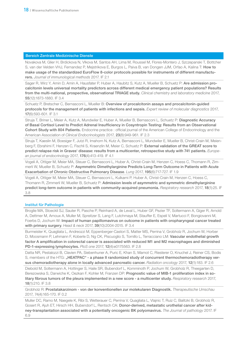Novakova M, Glier H, Brdickova N, Vlkova M, Santos AH, Lima M, Roussel M, Flores-Montero J, Szczepanski T, Bottcher S, van der Velden VHJ, Fernandez P, Mejstrikova E, Burgos L, Paiva B, van Dongen JJM, Orfao A, Kalina T: How to make usage of the standardized EuroFlow 8-color protocols possible for instruments of different manufacturers. *Journal of immunological methods* 2017. IF 2.1

Sager R, Wirz Y, Amin D, Amin A, Hausfater P, Huber A, Haubitz S, Kutz A, Mueller B, Schuetz P: Are admission procalcitonin levels universal mortality predictors across different medical emergency patient populations? Results from the multi-national, prospective, observational TRIAGE study. *Clinical chemistry and laboratory medicine* 2017, 55(12):1873-1880. IF 3.4

Schuetz P, Bretscher C, Bernasconi L, Mueller B: Overview of procalcitonin assays and procalcitonin-quided protocols for the management of patients with infections and sepsis. *Expert review of molecular diagnostics* 2017, 17(6):593-601. IF 3.1

Struja T, Briner L, Meier A, Kutz A, Mundwiler E, Huber A, Mueller B, Bernasconi L, Schuetz P: Diagnostic Accuracy of Basal Cortisol Level to Predict Adrenal Insufficiency in Cosyntropin Testing: Results from an Observational Cohort Study with 804 Patients. Endocrine practice : official journal of the American College of Endocrinology and the American Association of *Clinical Endocrinologists* 2017, 23(8):949-961. IF 2.3

Struja T, Kaeslin M, Boesiger F, Jutzi R, Imahorn N, Kutz A, Bernasconi L, Mundwiler E, Mueller B, Christ-Crain M, Meienberg F, Ebrahimi F, Henzen C, Fischli S, Kraenzlin M, Meier C, Schuetz P: External validation of the GREAT score to predict relapse risk in Graves' disease: results from a multicenter, retrospective study with 741 patients. *European journal of endocrinology* 2017, 176(4):413-419. IF 4.1

Vogeli A, Ottiger M, Meier MA, Steuer C, Bernasconi L, Huber A, Christ-Crain M, Henzen C, Hoess C, Thomann R, Zimmerli W, Mueller B, Schuetz P: Asymmetric Dimethylarginine Predicts Long-Term Outcome in Patients with Acute Exacerbation of Chronic Obstructive Pulmonary Disease. *Lung* 2017, 195(6):717-727. IF 1.9

Vogeli A, Ottiger M, Meier MA, Steuer C, Bernasconi L, Kulkarni P, Huber A, Christ-Crain M, Henzen C, Hoess C, Thomann R, Zimmerli W, Mueller B, Schuetz P: Admission levels of asymmetric and symmetric dimethylarginine predict long-term outcome in patients with community-acquired pneumonia. *Respiratory research* 2017, 18(1):25. IF 3.8

#### Institut für Pathologie

Broglie MA, Stoeckli SJ, Sauter R, Pasche P, Reinhard A, de Leval L, Huber GF, Pezier TF, Soltermann A, Giger R, Arnold A, Dettmer M, Arnoux A, Muller M, Spreitzer S, Lang F, Lutchmaya M, Stauffer E, Espeli V, Martucci F, Bongiovanni M, Foerbs D, Jochum W: Impact of human papillomavirus on outcome in patients with oropharyngeal cancer treated with primary surgery. *Head & neck* 2017, 39(10):2004-2015. IF 3.4

Burmeister K, Quagliata L, Andreozzi M, Eppenberger-Castori S, Matter MS, Perrina V, Grobholz R, Jochum W, Horber D, Moosmann P, Lehmann F, Koberle D, Ng CK, Piscuoglio S, Tornillo L, Terracciano LM: Vascular endothelial growth factor A amplification in colorectal cancer is associated with reduced M1 and M2 macrophages and diminished PD-1-expressing lymphocytes. *PloS one* 2017, 12(4):e0175563. IF 2.8

Datta NR, Pestalozzi B, Clavien PA, Siebenhuner A, Puric E, Khan S, Mamot C, Riesterer O, Knuchel J, Reiner CS, Bodis S, members of the HTG: "HEATPAC" - a phase II randomized study of concurrent thermochemoradiotherapy versus chemoradiotherapy alone in locally advanced pancreatic cancer. *Radiation oncology* 2017, 12(1):183. IF 2.6

Diebold M, Soltermann A, Hottinger S, Haile SR, Bubendorf L, Komminoth P, Jochum W, Grobholz R, Theegarten D, Berezowska S, Darwiche K, Oezkan F, Kohler M, Franzen DP: Prognostic value of MIB-1 proliferation index in solitary fibrous tumors of the pleura implemented in a new score - a multicenter study. *Respiratory research* 2017, 18(1):210. IF 3.8

Grobholz R: Prostatakarzinom - von der konventionellen zur molekularen Diagnostik. *Therapeutische Umschau* 2017, 74(4):165-170. IF 0.2

Muller DC, Ramo M, Naegele K, Ribi S, Wetterauer C, Perrina V, Quagliata L, Vlajnic T, Ruiz C, Balitzki B, Grobholz R, Gosert R, Ajuh ET, Hirsch HH, Bubendorf L, Rentsch CA: Donor-derived, metastatic urothelial cancer after kidney-transplantation associated with a potentially oncogenic BK polyomavirus. *The Journal of pathology* 2017. IF 6.9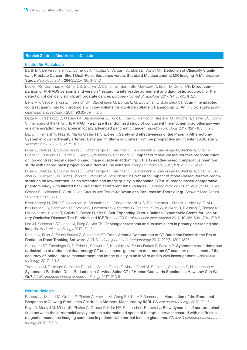#### Institut für Radiologie

Barth BK, De Visschere PJL, Cornelius A, Nicolau C, Vargas HA, Eberli D, Donati OF: Detection of Clinically Significant Prostate Cancer: Short Dual-Pulse Sequence versus Standard Multiparametric MR Imaging-A Multireader Study. *Radiology* 2017, 284(3):725-736. IF 51.0

Becker AS, Cornelius A, Reiner CS, Stocker D, Ulbrich EJ, Barth BK, Mortezavi A, Eberli D, Donati OF: Direct comparison of PI-RADS version 2 and version 1 regarding interreader agreement and diagnostic accuracy for the detection of clinically significant prostate cancer. *European journal of radiology* 2017, 94:58-63. IF 2.5

Benz MR, Szucs-Farkas Z, Froehlich JM, Stadelmann G, Bongartz G, Bouwman L, Schindera ST: Scan time adapted contrast agent injection protocols with low volume for low-tube voltage CT angiography: An in vitro study. *European journal of radiology* 2017, 93:65-69. IF 2.5

Datta NR, Pestalozzi B, Clavien PA, Siebenhuner A, Puric E, Khan S, Mamot C, Riesterer O, Knuchel J, Reiner CS, Bodis S, members of the HTG: "HEATPAC" - a phase II randomized study of concurrent thermochemoradiotherapy versus chemoradiotherapy alone in locally advanced pancreatic cancer. *Radiation oncology* 2017, 12(1):183. IF 2.6

Davis T, Ramaiah V, Niazi K, Martin Gissler H, Crabtree T: Safety and effectiveness of the Phoenix Atherectomy System in lower extremity arteries: Early and midterm outcomes from the prospective multicenter EASE study. *Vascular* 2017, 25(6):563-575. IF 0.7

Euler A, Stieltjes B, Szucs-Farkas Z, Eichenberger R, Reisinger C, Hirschmann A, Zaehringer C, Kircher A, Streif M, Bucher S, Buergler D, D'Errico L, Kopp S, Wilhelm M, Schindera ST: Impact of model-based iterative reconstruction on low-contrast lesion detection and image quality in abdominal CT: a 12-reader-based comparative phantom study with filtered back projection at different tube voltages. *European radiology* 2017, 27(12):5252-5259.

Euler A, Stieltjes B, Szucs-Farkas Z, Eichenberger R, Reisinger C, Hirschmann A, Zaehringer C, Kircher A, Streif M, Bucher S, Buergler D, D'Errico L, Kopp S, Wilhelm M, Schindera ST: Erratum to: Impact of model-based iterative reconstruction on low-contrast lesion detection and image quality in abdominal CT: a 12-reader-based comparative phantom study with filtered back projection at different tube voltages. *European radiology* 2017, 27(12):5260. IF 4.0

Gerdes S, Hollmann P, Curti G, von Strauss und Torney M: Wenn das Pankreas im Thorax liegt. Schweiz Med Forum 2017;17(11):269–271

Krankenberg H, Zeller T, Ingwersen M, Schmalstieg J, Gissler HM, Nikol S, Baumgartner I, Diehm N, Nickling E, Muller-Hulsbeck S, Schmiedel R, Torsello G, Hochholzer W, Stelzner C, Brechtel K, Ito W, Kickuth R, Blessing E, Thieme M, Nakonieczny J, Nolte T, Gareis R, Boden H, Sixt S: Self-Expanding Versus Balloon-Expandable Stents for Iliac Artery Occlusive Disease: The Randomized ICE Trial. *JACC Cardiovascular interventions* 2017, 10(16):1694-1704. IF 8.8

Lee JJ, Schindera ST, Jang HJ, Fung S, Kim TK: Cholangiocarcinoma and its mimickers in primary sclerosing cholangitis. *Abdominal radiology* 2017. IF 1.8

Parakh A, Euler A, Szucs-Farkas Z, Schindera ST: Trans-Atlantic Comparison of CT Radiation Doses in the Era of Radiation Dose-Tracking Software. *AJR American journal of roentgenology* 2017, 209(6):1302-1307.

Schindera ST, Zaehringer C, D'Errico L, Schwartz F, Kekelidze M, Szucs-Farkas Z, Benz MR: Systematic radiation dose optimization of abdominal dual-energy CT on a second-generation dual-source CT scanner: assessment of the accuracy of iodine uptake measurement and image quality in an in vitro and in vivo investigations. *Abdominal radiology* 2017. IF 1.8

Tozakidou M, Reisinger C, Harder D, Lieb J, Szucs-Farkas Z, Muller-Gerbl M, Studler U, Schindera S, Hirschmann A: Systematic Radiation Dose Reduction in Cervical Spine CT of Human Cadaveric Specimens: How Low Can We Go? *AJNR American journal of neuroradiology* 2017. IF 3.6

#### Neuroradiologie

Berberat J, Montali M, Gruber P, Pircher A, Hlavica M, Wang F, Killer HP, Remonda L: Modulation of the Emotional Response to Viewing Strabismic Children in Mothers-Measured by fMRI. *Clinical neuroradiology* 2017. IF 2.6

Boye D, Montali M, Miller NR, Pircher A, Gruber P, Killer HE, Remonda L, Berberat J: Flow dynamics of cerebrospinal fluid between the intracranial cavity and the subarachnoid space of the optic nerve measured with a diffusion magnetic resonance imaging sequence in patients with normal tension glaucoma. *Clinical & experimental ophthalmology* 2017. IF 3.0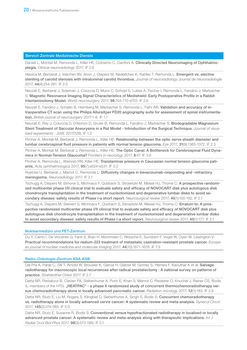Danieli L, Montali M, Remonda L, Killer HE, Colosimo C, Cianfoni A: Clinically Directed Neuroimaging of Ophthalmoplegia. *Clinical neuroradiology* 2017. IF 2.6

Hlavica M, Berberat J, Ineichen BV, Anon J, Diepers M, Nedeltchev K, Kahles T, Remonda L: Emergent vs. elective stenting of carotid stenosis with intraluminal carotid thrombus. *Journal of neuroradiology Journal de neuroradiologie* 2017, 44(4):254-261. IF 2.5

Nevzati E, Berberat J, Soleman J, Coluccia D, Muroi C, Schopf S, Lukes A, Fischer I, Remonda L, Fandino J, Marbacher S: Magnetic Resonance Imaging Signal Characteristics of Medishield: Early Postoperative Profile in a Rabbit Interlaminotomy Model. *World neurosurgery* 2017, 98:704-710 e703. IF 2.6

Nevzati E, Fandino J, Schatlo B, Heimberg M, Marbacher S, Remonda L, Fathi AR: Validation and accuracy of intraoperative CT scan using the Philips AlluraXper FD20 angiography suite for assessment of spinal instrumentation. *British journal of neurosurgery* 2017:1-6. IF 1.1

Nevzati E, Rey J, Coluccia D, D'Alonzo D, Gruter B, Remonda L, Fandino J, Marbacher S: Biodegradable Magnesium Stent Treatment of Saccular Aneurysms in a Rat Model - Introduction of the Surgical Technique. *Journal of visualized experiments* : JoVE 2017(128). IF 1.2

Pircher A, Montali M, Berberat J, Remonda L, Killer HE: Relationship between the optic nerve sheath diameter and lumbar cerebrospinal fluid pressure in patients with normal tension glaucoma. *Eye* 2017, 31(9):1365-1372. IF 2.3

Pircher A, Montali M, Berberat J, Remonda L, Killer HE: The Optic Canal: A Bottleneck for Cerebrospinal Fluid Dynamics in Normal-Tension Glaucoma? *Frontiers in neurology* 2017, 8:47. IF 3.6

Pircher A, Remonda L, Weinreb RN, Killer HE: Translaminar pressure in Caucasian normal tension glaucoma patients. *Acta ophthalmologica* 2017, 95(7):e524-e531. IF 3.2

Roelcke U, Berberat J, Mamot C, Remonda L: Diffusivity changes in bevacizumab-responding and -refractory meningioma. *Neuroradiology* 2017. IF 2.1

Tschugg A, Diepers M, Simone S, Michnacs F, Quirbach S, Strowitzki M, Meisel HJ, Thome C: A prospective randomized multicenter phase I/II clinical trial to evaluate safety and efficacy of NOVOCART disk plus autologous disk chondrocyte transplantation in the treatment of nucleotomized and degenerative lumbar disks to avoid secondary disease: safety results of Phase I-a short report. *Neurosurgical review* 2017, 40(1):155-162. IF 2.1

Tschugg A, Diepers M, Steinert S, Michnacs F, Quirbach S, Strowitzki M, Meisel HJ, Thome C: Erratum to: A prospective randomized multicenter phase I/II clinical trial to evaluate safety and efficacy of NOVOCART disk plus autologous disk chondrocyte transplantation in the treatment of nucleotomized and degenerative lumbar disks to avoid secondary disease: safety results of Phase I-a short report. *Neurosurgical review* 2017, 40(1):177. IF 2.1

#### Nuklearmedizin und PET-Zentrum

Du Y, Carrio I, De Vincentis G, Fanti S, Ilhan H, Mommsen C, Nitzsche E, Sundram F, Vogel W, Oyen W, Lewington V: Practical recommendations for radium-223 treatment of metastatic castration-resistant prostate cancer. *European journal of nuclear medicine and molecular imaging* 2017, 44(10):1671-1678. IF 7.3

#### Radio-Onkologie-Zentrum KSA-KSB

Dal Pra A, Panje C, Zilli T, Arnold W, Brouwer K, Garcia H, Glatzer M, Gomez S, Herrera F, Kaouthar K et al: Salvage radiotherapy for macroscopic local recurrences after radical prostatectomy : A national survey on patterns of practice. *Strahlenther Onkol* 2017. IF 2.7

Datta NR, Pestalozzi B, Clavien PA, Siebenhuner A, Puric E, Khan S, Mamot C, Riesterer O, Knuchel J, Reiner CS, Bodis S, members of the HTG: "HEATPAC" - a phase II randomized study of concurrent thermochemoradiotherapy versus chemoradiotherapy alone in locally advanced pancreatic cancer. *Radiation oncology* 2017, 12(1):183. IF 2.6

Datta NR, Stutz E, Liu M, Rogers S, Klingbiel D, Siebenhuner A, Singh S, Bodis S: Concurrent chemoradiotherapy vs. radiotherapy alone in locally advanced cervix cancer: A systematic review and meta-analysis. *Gynecol Oncol*  2017, 145(2):374-385. IF 5.0

Datta NR, Stutz E, Susanne R, Bodis S: Conventional versus hypofractionated radiotherapy in localized or locally advanced prostate cancer: A systematic review and meta-analysis along with therapeutic implications. *Int J Radiat Ocol Biol Phys* 2017, 99(3):573-589. IF 5.1